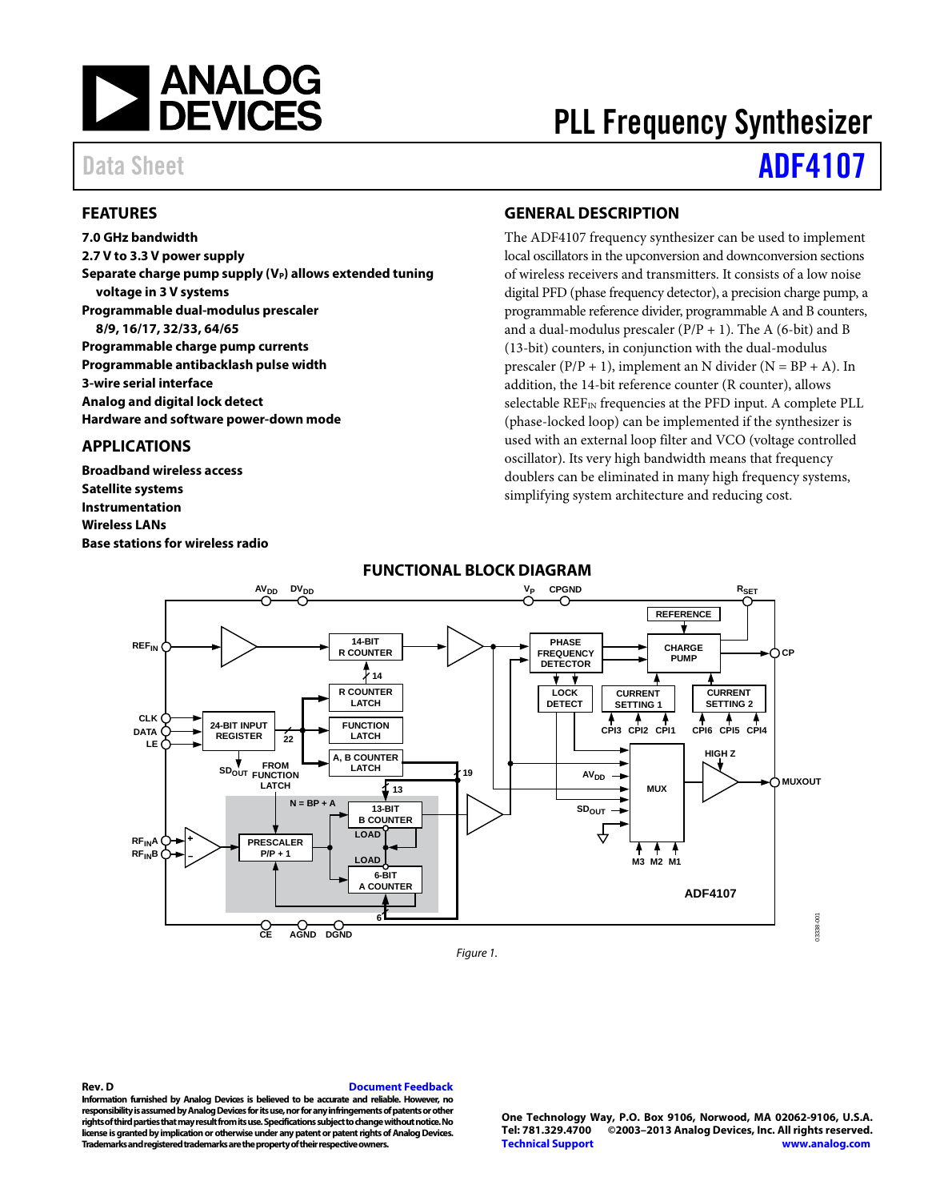

# PLL Frequency Synthesizer

# Data Sheet **[ADF4107](http://www.analog.com/ADF4107?doc=ADF4107.pdf)**

### <span id="page-0-0"></span>**FEATURES**

**7.0 GHz bandwidth 2.7 V to 3.3 V power supply** Separate charge pump supply (V<sub>P</sub>) allows extended tuning **voltage in 3 V systems Programmable dual-modulus prescaler 8/9, 16/17, 32/33, 64/65 Programmable charge pump currents Programmable antibacklash pulse width 3-wire serial interface Analog and digital lock detect Hardware and software power-down mode**

#### <span id="page-0-1"></span>**APPLICATIONS**

**Broadband wireless access Satellite systems Instrumentation Wireless LANs Base stations for wireless radio**

### <span id="page-0-2"></span>**GENERAL DESCRIPTION**

The ADF4107 frequency synthesizer can be used to implement local oscillators in the upconversion and downconversion sections of wireless receivers and transmitters. It consists of a low noise digital PFD (phase frequency detector), a precision charge pump, a programmable reference divider, programmable A and B counters, and a dual-modulus prescaler  $(P/P + 1)$ . The A (6-bit) and B (13-bit) counters, in conjunction with the dual-modulus prescaler ( $P/P + 1$ ), implement an N divider ( $N = BP + A$ ). In addition, the 14-bit reference counter (R counter), allows selectable REF<sub>IN</sub> frequencies at the PFD input. A complete PLL (phase-locked loop) can be implemented if the synthesizer is used with an external loop filter and VCO (voltage controlled oscillator). Its very high bandwidth means that frequency doublers can be eliminated in many high frequency systems, simplifying system architecture and reducing cost.

<span id="page-0-3"></span>

#### **FUNCTIONAL BLOCK DIAGRAM**

**Rev. D [Document Feedback](https://form.analog.com/Form_Pages/feedback/documentfeedback.aspx?doc=ADF4107.pdf&product=ADF4107&rev=D) Information furnished by Analog Devices is believed to be accurate and reliable. However, no responsibility is assumed by Analog Devices for its use, nor for any infringements of patents or other rights of third parties that may result from its use. Specifications subject to change without notice. No license is granted by implication or otherwise under any patent or patent rights of Analog Devices. Trademarks and registered trademarks are the property of their respective owners.**

**One Technology Way, P.O. Box 9106, Norwood, MA 02062-9106, U.S.A. Tel: 781.329.4700 ©2003–2013 Analog Devices, Inc. All rights reserved. [Technical Support](http://www.analog.com/en/content/technical_support_page/fca.html) [www.analog.com](http://www.analog.com/)**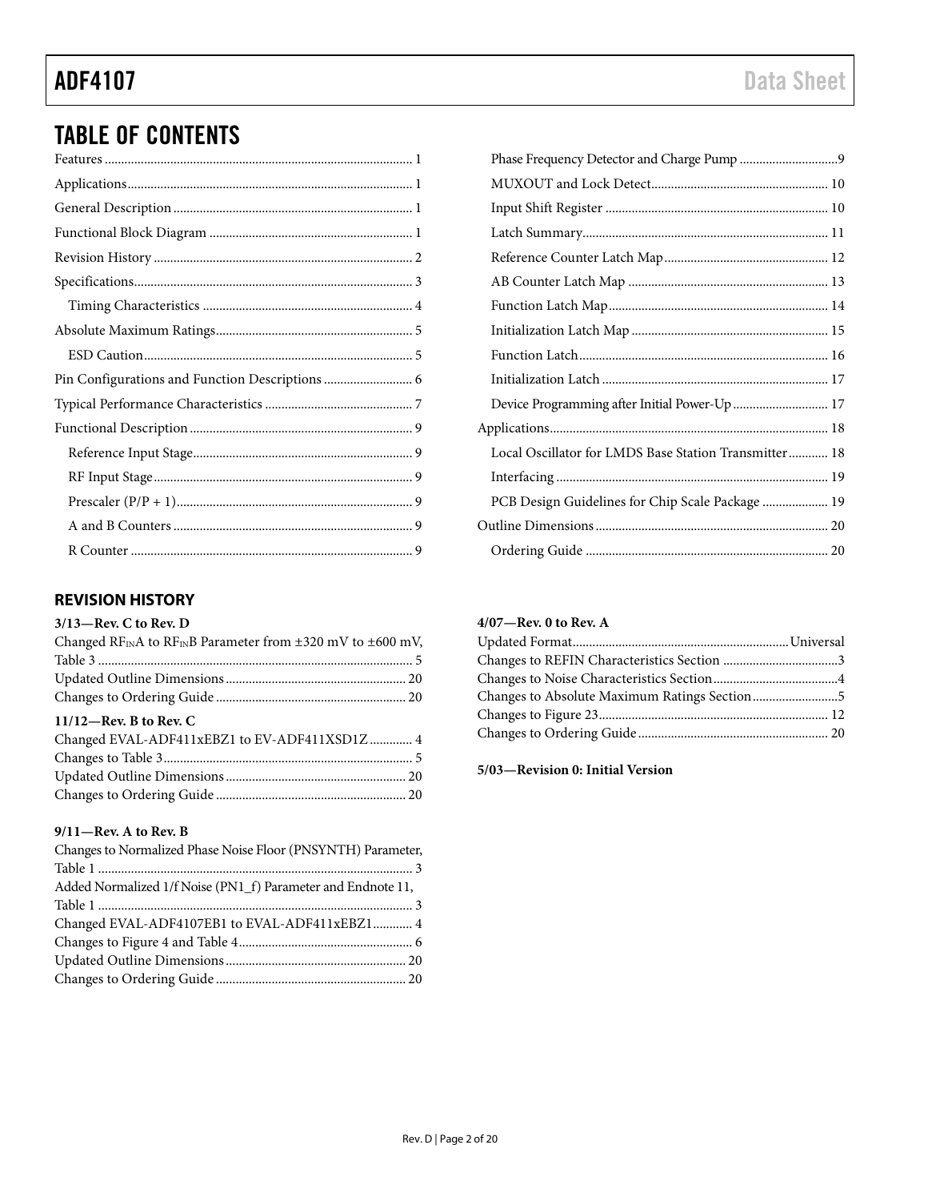# TABLE OF CONTENTS

# <span id="page-1-0"></span>**REVISION HISTORY**

#### **3/13—Rev. C to Rev. D**

| Changed RF <sub>IN</sub> A to RF <sub>IN</sub> B Parameter from $\pm 320$ mV to $\pm 600$ mV, |  |
|-----------------------------------------------------------------------------------------------|--|
|                                                                                               |  |
|                                                                                               |  |
|                                                                                               |  |
| $11/12$ —Rev. B to Rev. C                                                                     |  |
| Changed EVAL-ADF411xEBZ1 to EV-ADF411XSD1Z  4                                                 |  |
|                                                                                               |  |
|                                                                                               |  |
|                                                                                               |  |

### **9/11—Rev. A to Rev. B**

| Changes to Normalized Phase Noise Floor (PNSYNTH) Parameter, |
|--------------------------------------------------------------|
|                                                              |
| Added Normalized 1/f Noise (PN1 f) Parameter and Endnote 11, |
|                                                              |
| Changed EVAL-ADF4107EB1 to EVAL-ADF411xEBZ1 4                |
|                                                              |
|                                                              |
|                                                              |

| Device Programming after Initial Power-Up  17         |  |
|-------------------------------------------------------|--|
|                                                       |  |
| Local Oscillator for LMDS Base Station Transmitter 18 |  |
|                                                       |  |
| PCB Design Guidelines for Chip Scale Package  19      |  |
|                                                       |  |
|                                                       |  |
|                                                       |  |

## **4/07—Rev. 0 to Rev. A**

| Changes to Absolute Maximum Ratings Section5 |  |
|----------------------------------------------|--|
|                                              |  |
|                                              |  |

**5/03—Revision 0: Initial Version**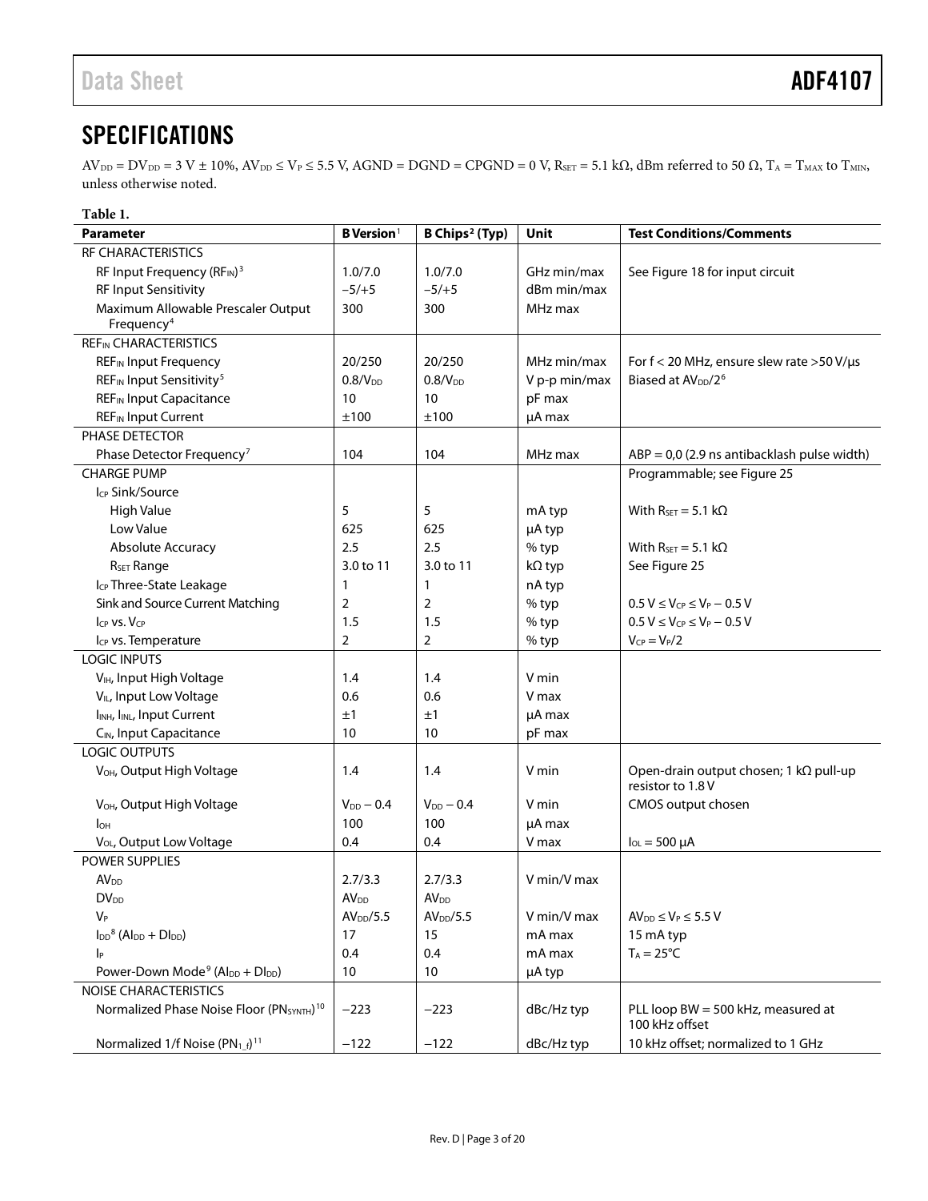# <span id="page-2-0"></span>**SPECIFICATIONS**

 $AV_{\text{DD}} = DV_{\text{DD}} = 3 \text{ V} \pm 10\%, AV_{\text{DD}} \leq V_{\text{P}} \leq 5.5 \text{ V}$ ,  $AGND = DGND = CPGND = 0 \text{ V}$ ,  $R_{\text{SET}} = 5.1 \text{ k}\Omega$ , dBm referred to 50  $\Omega$ ,  $T_A = T_{\text{MAX}}$  to  $T_{\text{MIN}}$ , unless otherwise noted.

| Table 1.                                                                            |                          |                            |               |                                                             |  |  |  |  |
|-------------------------------------------------------------------------------------|--------------------------|----------------------------|---------------|-------------------------------------------------------------|--|--|--|--|
| <b>Parameter</b>                                                                    | $B$ Version <sup>1</sup> | B Chips <sup>2</sup> (Typ) | <b>Unit</b>   | <b>Test Conditions/Comments</b>                             |  |  |  |  |
| RF CHARACTERISTICS                                                                  |                          |                            |               |                                                             |  |  |  |  |
| RF Input Frequency (RFIN) <sup>3</sup>                                              | 1.0/7.0                  | 1.0/7.0                    | GHz min/max   | See Figure 18 for input circuit                             |  |  |  |  |
| <b>RF Input Sensitivity</b>                                                         | $-5/+5$                  | $-5/+5$                    | dBm min/max   |                                                             |  |  |  |  |
| Maximum Allowable Prescaler Output                                                  | 300                      | 300                        | MHz max       |                                                             |  |  |  |  |
| Frequency <sup>4</sup>                                                              |                          |                            |               |                                                             |  |  |  |  |
| <b>REFIN CHARACTERISTICS</b>                                                        |                          |                            |               |                                                             |  |  |  |  |
| <b>REF<sub>IN</sub></b> Input Frequency                                             | 20/250                   | 20/250                     | MHz min/max   | For $f < 20$ MHz, ensure slew rate >50 V/ $\mu$ s           |  |  |  |  |
| REF <sub>IN</sub> Input Sensitivity <sup>5</sup>                                    | 0.8/V <sub>DD</sub>      | 0.8/V <sub>DD</sub>        | V p-p min/max | Biased at AV <sub>DD</sub> /2 <sup>6</sup>                  |  |  |  |  |
| <b>REF<sub>IN</sub></b> Input Capacitance                                           | 10                       | 10                         | pF max        |                                                             |  |  |  |  |
| <b>REF<sub>IN</sub></b> Input Current                                               | ±100                     | ±100                       | µA max        |                                                             |  |  |  |  |
| PHASE DETECTOR                                                                      |                          |                            |               |                                                             |  |  |  |  |
| Phase Detector Frequency <sup>7</sup>                                               | 104                      | 104                        | MHz max       | $ABP = 0.0$ (2.9 ns antibacklash pulse width)               |  |  |  |  |
| <b>CHARGE PUMP</b>                                                                  |                          |                            |               | Programmable; see Figure 25                                 |  |  |  |  |
| I <sub>CP</sub> Sink/Source                                                         |                          |                            |               |                                                             |  |  |  |  |
| High Value                                                                          | 5                        | 5                          | mA typ        | With $R_{\text{SET}} = 5.1 \text{ k}\Omega$                 |  |  |  |  |
| Low Value                                                                           | 625                      | 625                        | µA typ        |                                                             |  |  |  |  |
| Absolute Accuracy                                                                   | 2.5                      | 2.5                        | % typ         | With $R_{\text{SET}} = 5.1 \text{ k}\Omega$                 |  |  |  |  |
| R <sub>SET</sub> Range                                                              | 3.0 to 11                | 3.0 to 11                  | kΩ typ        | See Figure 25                                               |  |  |  |  |
| I <sub>CP</sub> Three-State Leakage                                                 | 1                        | $\mathbf{1}$               | nA typ        |                                                             |  |  |  |  |
| Sink and Source Current Matching                                                    | 2                        | $\overline{2}$             | % typ         | $0.5 V \leq V_{CP} \leq V_P - 0.5 V$                        |  |  |  |  |
| $C_{P}$ VS. $V_{CP}$                                                                | 1.5                      | 1.5                        | % typ         | $0.5 V \leq V_{CP} \leq V_P - 0.5 V$                        |  |  |  |  |
| I <sub>CP</sub> vs. Temperature                                                     | $\overline{2}$           | $\overline{2}$             | % typ         | $V_{CP} = V_P/2$                                            |  |  |  |  |
| <b>LOGIC INPUTS</b>                                                                 |                          |                            |               |                                                             |  |  |  |  |
| V <sub>IH</sub> , Input High Voltage                                                | 1.4                      | 1.4                        | V min         |                                                             |  |  |  |  |
| V <sub>IL</sub> , Input Low Voltage                                                 | 0.6                      | 0.6                        | V max         |                                                             |  |  |  |  |
| I <sub>INH</sub> , I <sub>INL</sub> , Input Current                                 | ±1                       | ±1                         | µA max        |                                                             |  |  |  |  |
| CIN, Input Capacitance                                                              | 10                       | 10                         | pF max        |                                                             |  |  |  |  |
| LOGIC OUTPUTS                                                                       |                          |                            |               |                                                             |  |  |  |  |
| V <sub>OH</sub> , Output High Voltage                                               | 1.4                      | 1.4                        | V min         | Open-drain output chosen; 1 kΩ pull-up<br>resistor to 1.8 V |  |  |  |  |
| V <sub>OH</sub> , Output High Voltage                                               | $V_{DD}$ $-$ 0.4         | $V_{DD}$ – 0.4             | V min         | CMOS output chosen                                          |  |  |  |  |
| l <sub>OH</sub>                                                                     | 100                      | 100                        | µA max        |                                                             |  |  |  |  |
| V <sub>OL</sub> , Output Low Voltage                                                | 0.4                      | 0.4                        | V max         | $I_{OL} = 500 \mu A$                                        |  |  |  |  |
| <b>POWER SUPPLIES</b>                                                               |                          |                            |               |                                                             |  |  |  |  |
| <b>AV<sub>DD</sub></b>                                                              | 2.7/3.3                  | 2.7/3.3                    | V min/V max   |                                                             |  |  |  |  |
| <b>DV</b> <sub>DD</sub>                                                             | <b>AV</b> <sub>DD</sub>  | <b>AV</b> <sub>DD</sub>    |               |                                                             |  |  |  |  |
| $V_P$                                                                               | AV <sub>DD</sub> /5.5    | AV <sub>DD</sub> /5.5      | V min/V max   | $AV_{DD} \leq V_P \leq 5.5 V$                               |  |  |  |  |
| $\mathsf{I}_{\text{DD}}^8$ (Al <sub>DD</sub> + $\mathsf{D}\mathsf{I}_{\text{DD}}$ ) | 17                       | 15                         | mA max        | 15 mA typ                                                   |  |  |  |  |
| p                                                                                   | 0.4                      | 0.4                        | mA max        | $T_A = 25^{\circ}C$                                         |  |  |  |  |
| Power-Down Mode <sup>9</sup> (Al <sub>DD</sub> + Dl <sub>DD</sub> )                 | 10                       | 10                         | µA typ        |                                                             |  |  |  |  |
| NOISE CHARACTERISTICS                                                               |                          |                            |               |                                                             |  |  |  |  |
| Normalized Phase Noise Floor (PNSYNTH) <sup>10</sup>                                | $-223$                   | $-223$                     | dBc/Hz typ    | PLL loop BW = 500 kHz, measured at                          |  |  |  |  |
|                                                                                     |                          |                            |               | 100 kHz offset                                              |  |  |  |  |
| Normalized 1/f Noise $(PN_{1_f})^{11}$                                              | $-122$                   | $-122$                     | dBc/Hz typ    | 10 kHz offset; normalized to 1 GHz                          |  |  |  |  |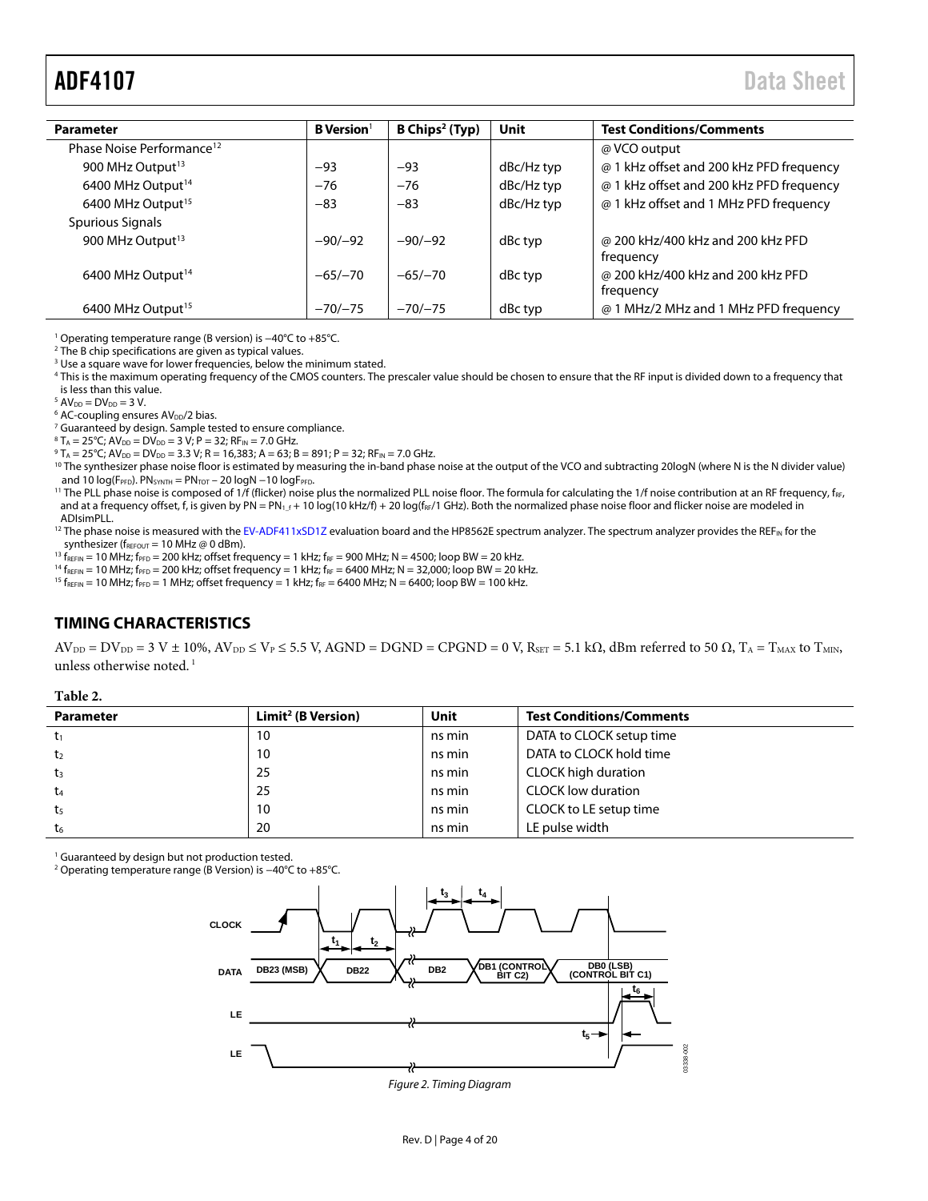# <span id="page-3-1"></span>ADF4107 Data Sheet

| <b>Parameter</b>                      | <b>B</b> Version <sup>1</sup> | B Chips <sup>2</sup> (Typ) | Unit       | <b>Test Conditions/Comments</b>                |  |  |  |  |  |  |
|---------------------------------------|-------------------------------|----------------------------|------------|------------------------------------------------|--|--|--|--|--|--|
| Phase Noise Performance <sup>12</sup> |                               |                            |            | @ VCO output                                   |  |  |  |  |  |  |
| 900 MHz Output <sup>13</sup>          | $-93$                         | $-93$                      | dBc/Hz typ | @ 1 kHz offset and 200 kHz PFD frequency       |  |  |  |  |  |  |
| 6400 MHz Output <sup>14</sup>         | $-76$                         | $-76$                      | dBc/Hz typ | @ 1 kHz offset and 200 kHz PFD frequency       |  |  |  |  |  |  |
| 6400 MHz Output <sup>15</sup>         | $-83$                         | $-83$                      | dBc/Hz typ | @ 1 kHz offset and 1 MHz PFD frequency         |  |  |  |  |  |  |
| Spurious Signals                      |                               |                            |            |                                                |  |  |  |  |  |  |
| 900 MHz Output <sup>13</sup>          | $-90/-92$                     | $-90/-92$                  | dBc typ    | @ 200 kHz/400 kHz and 200 kHz PFD<br>frequency |  |  |  |  |  |  |
| 6400 MHz Output <sup>14</sup>         | $-65/-70$                     | $-65/-70$                  | dBc typ    | @ 200 kHz/400 kHz and 200 kHz PFD<br>frequency |  |  |  |  |  |  |
| 6400 MHz Output <sup>15</sup>         | $-70/-75$                     | $-70/-75$                  | dBc typ    | @ 1 MHz/2 MHz and 1 MHz PFD frequency          |  |  |  |  |  |  |

1 Operating temperature range (B version) is −40°C to +85°C.

2 The B chip specifications are given as typical values.

<sup>3</sup> Use a square wave for lower frequencies, below the minimum stated.

4 This is the maximum operating frequency of the CMOS counters. The prescaler value should be chosen to ensure that the RF input is divided down to a frequency that is less than this value.

 $^5$  AV<sub>DD</sub> = DV<sub>DD</sub> = 3 V.<br> $^6$  AC-coupling ensur

 $6$  AC-coupling ensures AV<sub>DD</sub>/2 bias.

<sup>7</sup> Guaranteed by design. Sample tested to ensure compliance.

 $^8$ T<sub>A</sub> = 25°C; AV<sub>DD</sub> = DV<sub>DD</sub> = 3 V; P = 32; RF<sub>IN</sub> = 7.0 GHz.<br><sup>9</sup> T. – 25°C; AV<sub>DR</sub> – DV<sub>DR</sub> – 3 3 V; R – 16 383; A – 63; R

<sup>9</sup> T<sub>A</sub> = 25°C; AV<sub>DD</sub> = DV<sub>DD</sub> = 3.3 V; R = 16,383; A = 63; B = 891; P = 32; RF<sub>IN</sub> = 7.0 GHz.<br><sup>10</sup> The synthesizer phase noise floor is estimated by measuring the in-band phase noise at the output of the VCO and subtra

<sup>11</sup> The PLL phase noise is composed of 1/f (flicker) noise plus the normalized PLL noise floor. The formula for calculating the 1/f noise contribution at an RF frequency, f<sub>RF</sub>, and at a frequency offset, f, is given by PN = PN<sub>1\_f</sub> + 10 log(10 kHz/f) + 20 log(f<sub>RF</sub>/1 GHz). Both the normalized phase noise floor and flicker noise are modeled in ADIsimPLL.

<sup>12</sup> The phase noise is measured with th[e EV-ADF411xSD1Z e](http://www.analog.com/adf4107)valuation board and the HP8562E spectrum analyzer. The spectrum analyzer provides the REF<sub>IN</sub> for the synthesizer (f<sub>REFOUT</sub> = 10 MHz @ 0 dBm).

<sup>13</sup> f<sub>REFIN</sub> = 10 MHz; f<sub>PFD</sub> = 200 kHz; offset frequency = 1 kHz; f<sub>RF</sub> = 900 MHz; N = 4500; loop BW = 20 kHz.<br><sup>14</sup> f<sub>REFIN</sub> = 10 MHz; f<sub>PFD</sub> = 200 kHz; offset frequency = 1 kHz; f<sub>RF</sub> = 6400 MHz; N = 32,000; loop BW =

#### <span id="page-3-0"></span>**TIMING CHARACTERISTICS**

 $AV_{DD} = DV_{DD} = 3 V \pm 10\%, AV_{DD} \le V_P \le 5.5 V$ , AGND = DGND = CPGND = 0 V, R<sub>SET</sub> = 5.1 kΩ, dBm referred to 50  $\Omega$ , T<sub>A</sub> = T<sub>MAX</sub> to T<sub>MIN</sub>, unless otherwise noted.<sup>1</sup>

#### **Table 2.**

| <b>Parameter</b> | Limit <sup>2</sup> (B Version) | Unit   | <b>Test Conditions/Comments</b> |
|------------------|--------------------------------|--------|---------------------------------|
| $t_1$            | 10                             | ns min | DATA to CLOCK setup time        |
| t <sub>2</sub>   | 10                             | ns min | DATA to CLOCK hold time         |
| $t_3$            | 25                             | ns min | CLOCK high duration             |
| t4               | 25                             | ns min | <b>CLOCK low duration</b>       |
| t <sub>5</sub>   | 10                             | ns min | CLOCK to LE setup time          |
| t <sub>6</sub>   | 20                             | ns min | LE pulse width                  |

<sup>1</sup> Guaranteed by design but not production tested.

<span id="page-3-2"></span>2 Operating temperature range (B Version) is −40°C to +85°C.



Figure 2. Timing Diagram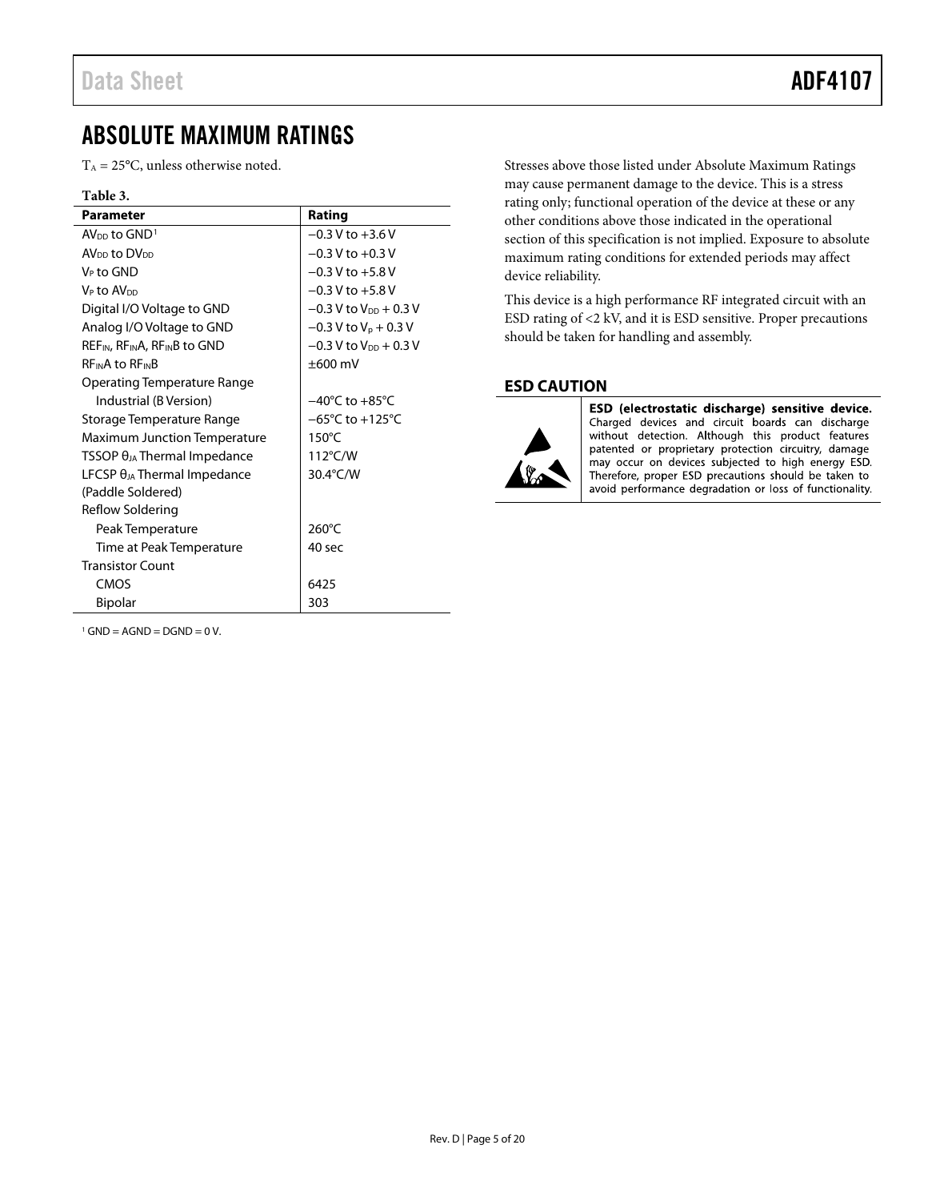# <span id="page-4-0"></span>ABSOLUTE MAXIMUM RATINGS

 $T_A = 25$ °C, unless otherwise noted.

#### **Table 3.**

<span id="page-4-2"></span>

| <b>Parameter</b>                                                  | Rating                               |
|-------------------------------------------------------------------|--------------------------------------|
| $AVDD$ to $GND1$                                                  | $-0.3$ V to $+3.6$ V                 |
| AV <sub>DD</sub> to DV <sub>DD</sub>                              | $-0.3$ V to $+0.3$ V                 |
| V⊳ to GND                                                         | $-0.3$ V to $+5.8$ V                 |
| V <sub>P</sub> to AV <sub>DD</sub>                                | $-0.3$ V to $+5.8$ V                 |
| Digital I/O Voltage to GND                                        | $-0.3$ V to V <sub>DD</sub> $+0.3$ V |
| Analog I/O Voltage to GND                                         | $-0.3$ V to V <sub>p</sub> + 0.3 V   |
| REF <sub>IN</sub> , RF <sub>IN</sub> A, RF <sub>IN</sub> B to GND | $-0.3$ V to V <sub>DD</sub> $+0.3$ V |
| <b>REINA to REINB</b>                                             | $\pm 600$ mV                         |
| <b>Operating Temperature Range</b>                                |                                      |
| Industrial (B Version)                                            | $-40^{\circ}$ C to $+85^{\circ}$ C   |
| Storage Temperature Range                                         | $-65^{\circ}$ C to $+125^{\circ}$ C  |
| <b>Maximum Junction Temperature</b>                               | $150^{\circ}$ C                      |
| TSSOP $\theta_{JA}$ Thermal Impedance                             | $112^{\circ}$ C/W                    |
| LFCSP $\theta_{JA}$ Thermal Impedance                             | 30.4°C/W                             |
| (Paddle Soldered)                                                 |                                      |
| Reflow Soldering                                                  |                                      |
| Peak Temperature                                                  | 260°C                                |
| Time at Peak Temperature                                          | 40 sec                               |
| <b>Transistor Count</b>                                           |                                      |
| CMOS                                                              | 6425                                 |
| <b>Bipolar</b>                                                    | 303                                  |

<span id="page-4-3"></span> $1$  GND = AGND = DGND = 0 V.

Stresses above those listed under Absolute Maximum Ratings may cause permanent damage to the device. This is a stress rating only; functional operation of the device at these or any other conditions above those indicated in the operational section of this specification is not implied. Exposure to absolute maximum rating conditions for extended periods may affect device reliability.

This device is a high performance RF integrated circuit with an ESD rating of <2 kV, and it is ESD sensitive. Proper precautions should be taken for handling and assembly.

#### <span id="page-4-1"></span>**ESD CAUTION**



ESD (electrostatic discharge) sensitive device. Charged devices and circuit boards can discharge without detection. Although this product features patented or proprietary protection circuitry, damage may occur on devices subjected to high energy ESD. Therefore, proper ESD precautions should be taken to avoid performance degradation or loss of functionality.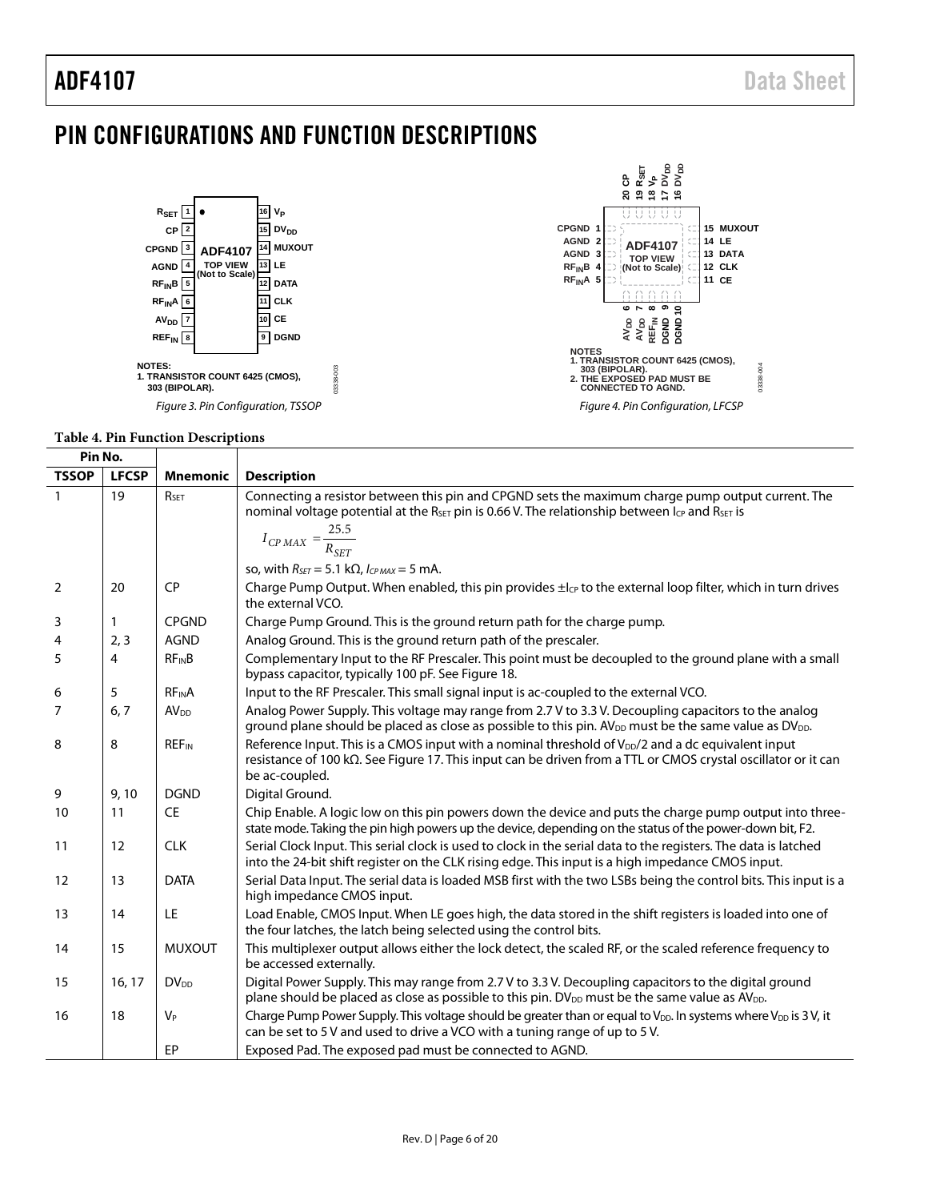# <span id="page-5-0"></span>PIN CONFIGURATIONS AND FUNCTION DESCRIPTIONS



### **Table 4. Pin Function Descriptions**

| Pin No.      |              |                         |                                                                                                                                                                                                                                                   |
|--------------|--------------|-------------------------|---------------------------------------------------------------------------------------------------------------------------------------------------------------------------------------------------------------------------------------------------|
| <b>TSSOP</b> | <b>LFCSP</b> | <b>Mnemonic</b>         | <b>Description</b>                                                                                                                                                                                                                                |
| $\mathbf{1}$ | 19           | RSET                    | Connecting a resistor between this pin and CPGND sets the maximum charge pump output current. The<br>nominal voltage potential at the R <sub>SET</sub> pin is 0.66 V. The relationship between I <sub>CP</sub> and R <sub>SET</sub> is            |
|              |              |                         | $I_{CP \, MAX} = \frac{25.5}{R_{SET}}$                                                                                                                                                                                                            |
|              |              |                         | so, with $R_{SET} = 5.1 \text{ k}\Omega$ , $I_{CPMAX} = 5 \text{ mA}$ .                                                                                                                                                                           |
| 2            | 20           | <b>CP</b>               | Charge Pump Output. When enabled, this pin provides $\pm l_{CP}$ to the external loop filter, which in turn drives<br>the external VCO.                                                                                                           |
| 3            | 1            | <b>CPGND</b>            | Charge Pump Ground. This is the ground return path for the charge pump.                                                                                                                                                                           |
| 4            | 2, 3         | <b>AGND</b>             | Analog Ground. This is the ground return path of the prescaler.                                                                                                                                                                                   |
| 5            | 4            | $RF_{IN}B$              | Complementary Input to the RF Prescaler. This point must be decoupled to the ground plane with a small<br>bypass capacitor, typically 100 pF. See Figure 18.                                                                                      |
| 6            | 5            | <b>RFINA</b>            | Input to the RF Prescaler. This small signal input is ac-coupled to the external VCO.                                                                                                                                                             |
| 7            | 6, 7         | AV <sub>DD</sub>        | Analog Power Supply. This voltage may range from 2.7 V to 3.3 V. Decoupling capacitors to the analog<br>ground plane should be placed as close as possible to this pin. $AV_{DD}$ must be the same value as $DV_{DD}$ .                           |
| 8            | 8            | <b>REF<sub>IN</sub></b> | Reference Input. This is a CMOS input with a nominal threshold of V <sub>DD</sub> /2 and a dc equivalent input<br>resistance of 100 kΩ. See Figure 17. This input can be driven from a TTL or CMOS crystal oscillator or it can<br>be ac-coupled. |
| 9            | 9,10         | <b>DGND</b>             | Digital Ground.                                                                                                                                                                                                                                   |
| 10           | 11           | <b>CE</b>               | Chip Enable. A logic low on this pin powers down the device and puts the charge pump output into three-<br>state mode. Taking the pin high powers up the device, depending on the status of the power-down bit, F2.                               |
| 11           | 12           | <b>CLK</b>              | Serial Clock Input. This serial clock is used to clock in the serial data to the registers. The data is latched<br>into the 24-bit shift register on the CLK rising edge. This input is a high impedance CMOS input.                              |
| 12           | 13           | <b>DATA</b>             | Serial Data Input. The serial data is loaded MSB first with the two LSBs being the control bits. This input is a<br>high impedance CMOS input.                                                                                                    |
| 13           | 14           | <b>LE</b>               | Load Enable, CMOS Input. When LE goes high, the data stored in the shift registers is loaded into one of<br>the four latches, the latch being selected using the control bits.                                                                    |
| 14           | 15           | <b>MUXOUT</b>           | This multiplexer output allows either the lock detect, the scaled RF, or the scaled reference frequency to<br>be accessed externally.                                                                                                             |
| 15           | 16, 17       | <b>DV</b> <sub>DD</sub> | Digital Power Supply. This may range from 2.7 V to 3.3 V. Decoupling capacitors to the digital ground<br>plane should be placed as close as possible to this pin. DV <sub>DD</sub> must be the same value as AV <sub>DD</sub> .                   |
| 16           | 18           | $V_P$                   | Charge Pump Power Supply. This voltage should be greater than or equal to V <sub>DD</sub> . In systems where V <sub>DD</sub> is 3V, it<br>can be set to 5 V and used to drive a VCO with a tuning range of up to 5 V.                             |
|              |              | EP                      | Exposed Pad. The exposed pad must be connected to AGND.                                                                                                                                                                                           |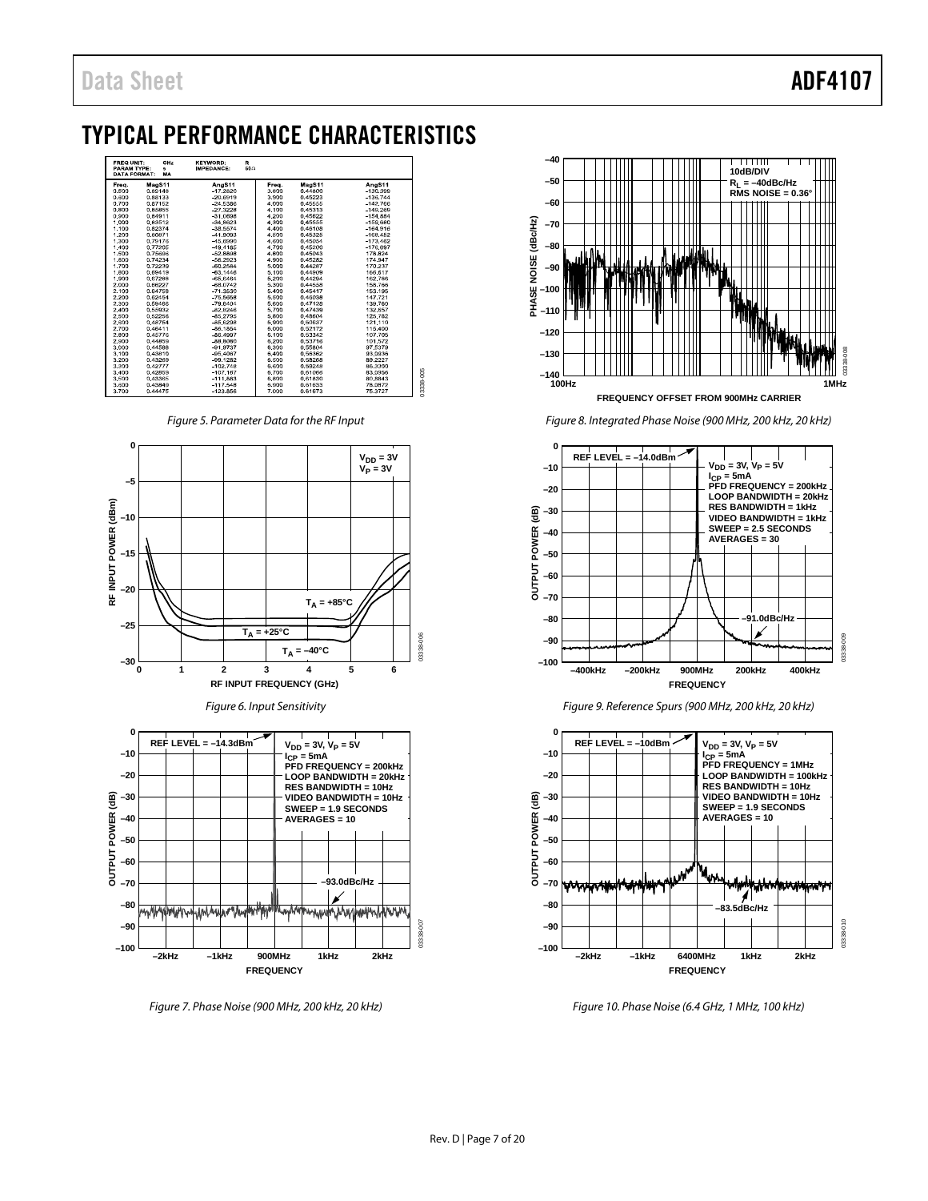# <span id="page-6-0"></span>TYPICAL PERFORMANCE CHARACTERISTICS



*Figure 5. Parameter Data for the RF Input*







*Figure 7. Phase Noise (900 MHz, 200 kHz, 20 kHz)*



*Figure 8. Integrated Phase Noise (900 MHz, 200 kHz, 20 kHz)*



*Figure 9. Reference Spurs (900 MHz, 200 kHz, 20 kHz)*



*Figure 10. Phase Noise (6.4 GHz, 1 MHz, 100 kHz)*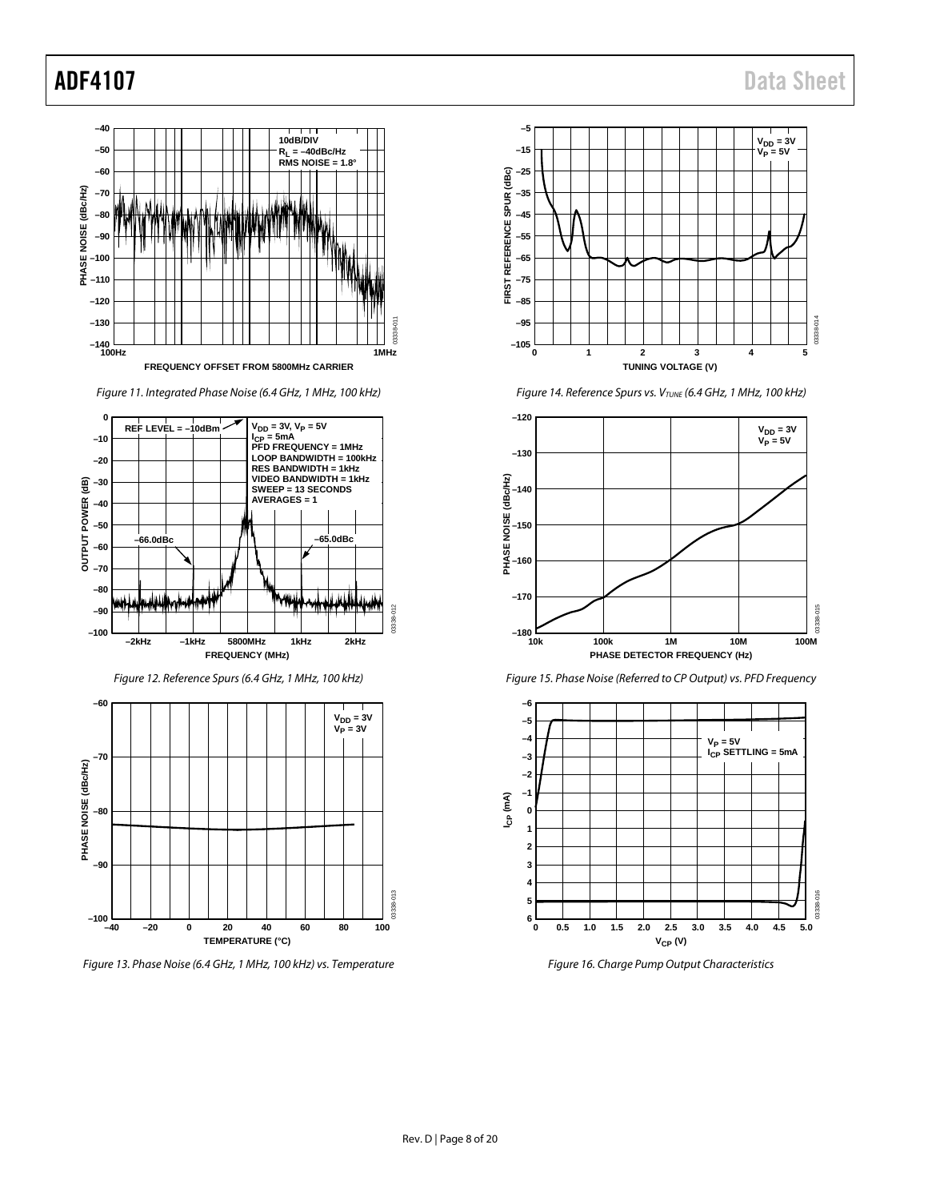

*Figure 11. Integrated Phase Noise (6.4 GHz, 1 MHz, 100 kHz)*



*Figure 12. Reference Spurs (6.4 GHz, 1 MHz, 100 kHz)*



*Figure 13. Phase Noise (6.4 GHz, 1 MHz, 100 kHz) vs. Temperature*



*Figure 14. Reference Spurs vs. VTUNE (6.4 GHz, 1 MHz, 100 kHz)*







*Figure 16. Charge Pump Output Characteristics*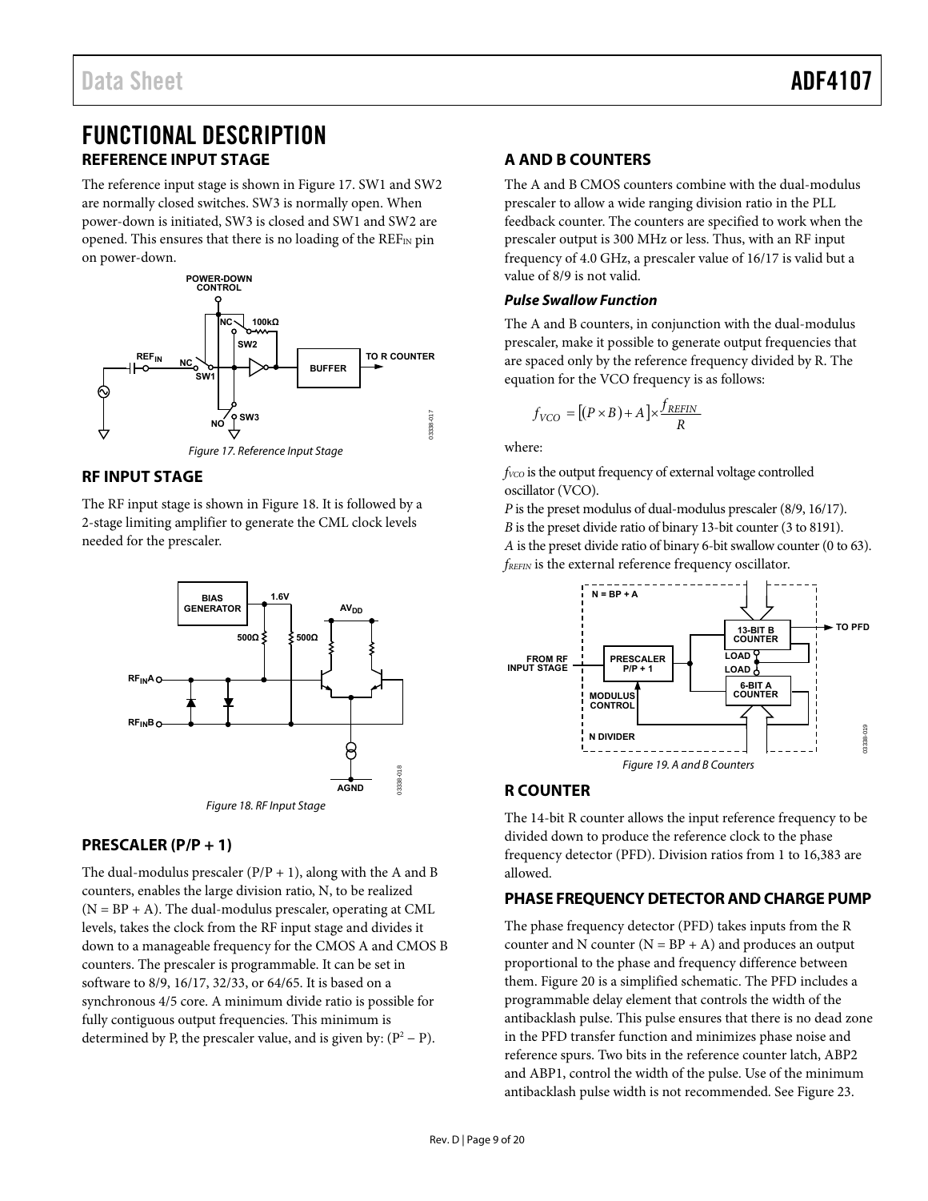# <span id="page-8-1"></span><span id="page-8-0"></span>FUNCTIONAL DESCRIPTION **REFERENCE INPUT STAGE**

The reference input stage is shown i[n Figure 17.](#page-8-8) SW1 and SW2 are normally closed switches. SW3 is normally open. When power-down is initiated, SW3 is closed and SW1 and SW2 are opened. This ensures that there is no loading of the  $REF_{IN}$  pin on power-down.



## <span id="page-8-8"></span><span id="page-8-2"></span>**RF INPUT STAGE**

The RF input stage is shown in [Figure 18.](#page-8-7) It is followed by a 2-stage limiting amplifier to generate the CML clock levels needed for the prescaler.



### <span id="page-8-7"></span><span id="page-8-3"></span>**PRESCALER (P/P + 1)**

The dual-modulus prescaler  $(P/P + 1)$ , along with the A and B counters, enables the large division ratio, N, to be realized  $(N = BP + A)$ . The dual-modulus prescaler, operating at CML levels, takes the clock from the RF input stage and divides it down to a manageable frequency for the CMOS A and CMOS B counters. The prescaler is programmable. It can be set in software to 8/9, 16/17, 32/33, or 64/65. It is based on a synchronous 4/5 core. A minimum divide ratio is possible for fully contiguous output frequencies. This minimum is determined by P, the prescaler value, and is given by:  $(P^2 - P)$ .

## <span id="page-8-4"></span>**A AND B COUNTERS**

The A and B CMOS counters combine with the dual-modulus prescaler to allow a wide ranging division ratio in the PLL feedback counter. The counters are specified to work when the prescaler output is 300 MHz or less. Thus, with an RF input frequency of 4.0 GHz, a prescaler value of 16/17 is valid but a value of 8/9 is not valid.

### **Pulse Swallow Function**

The A and B counters, in conjunction with the dual-modulus prescaler, make it possible to generate output frequencies that are spaced only by the reference frequency divided by R. The equation for the VCO frequency is as follows:

$$
f_{VCO} = [(P \times B) + A] \times \frac{f_{REFIN}}{R}
$$

where:

*f*<sub>VCO</sub> is the output frequency of external voltage controlled oscillator (VCO).

*P* is the preset modulus of dual-modulus prescaler (8/9, 16/17). *B* is the preset divide ratio of binary 13-bit counter (3 to 8191). *A* is the preset divide ratio of binary 6-bit swallow counter (0 to 63). *fREFIN* is the external reference frequency oscillator.



### <span id="page-8-5"></span>**R COUNTER**

The 14-bit R counter allows the input reference frequency to be divided down to produce the reference clock to the phase frequency detector (PFD). Division ratios from 1 to 16,383 are allowed.

### <span id="page-8-6"></span>**PHASE FREQUENCY DETECTOR AND CHARGE PUMP**

The phase frequency detector (PFD) takes inputs from the R counter and N counter  $(N = BP + A)$  and produces an output proportional to the phase and frequency difference between them. [Figure 20 i](#page-9-2)s a simplified schematic. The PFD includes a programmable delay element that controls the width of the antibacklash pulse. This pulse ensures that there is no dead zone in the PFD transfer function and minimizes phase noise and reference spurs. Two bits in the reference counter latch, ABP2 and ABP1, control the width of the pulse. Use of the minimum antibacklash pulse width is not recommended. See [Figure 23.](#page-11-1)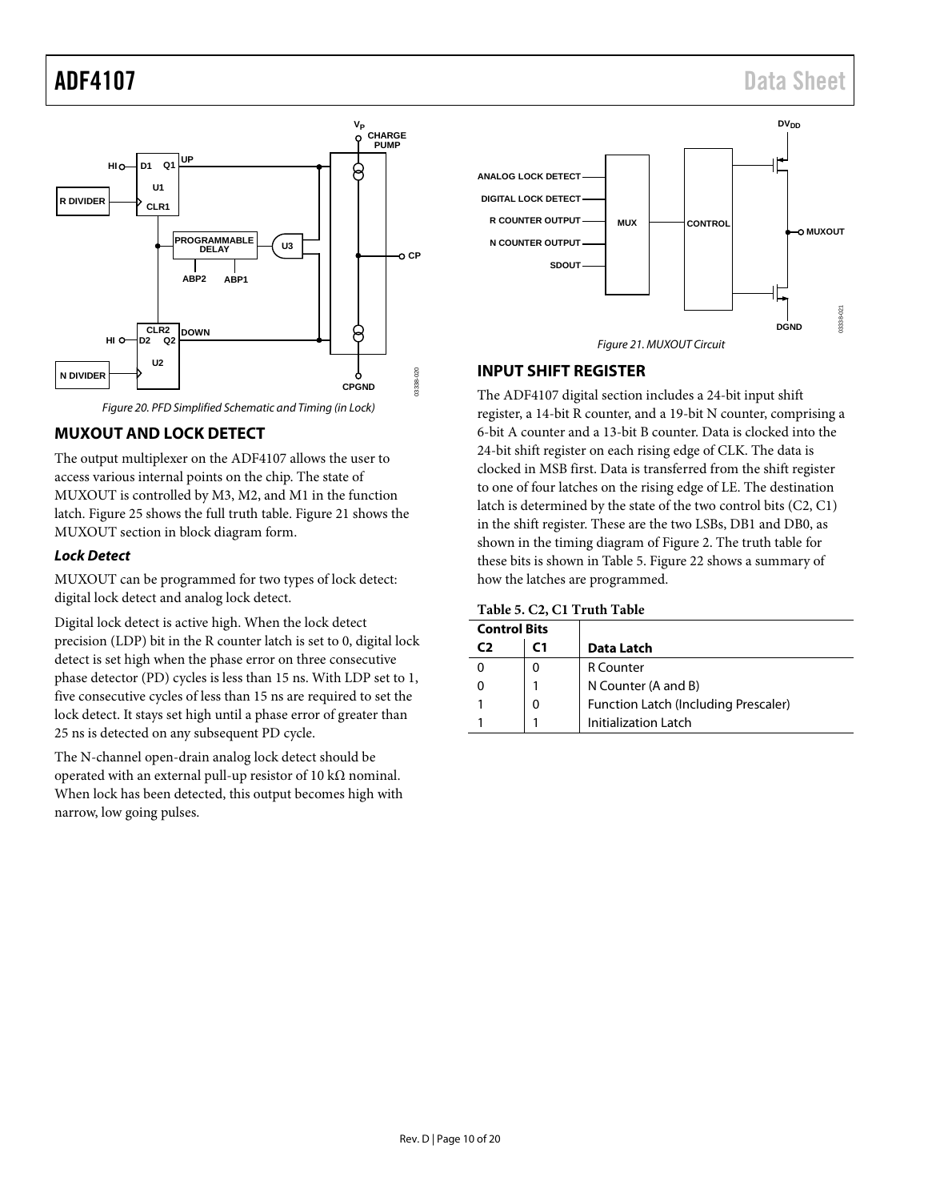# ADF4107 Data Sheet



## <span id="page-9-2"></span><span id="page-9-0"></span>**MUXOUT AND LOCK DETECT**

The output multiplexer on the ADF4107 allows the user to access various internal points on the chip. The state of MUXOUT is controlled by M3, M2, and M1 in the function latch[. Figure 25](#page-13-1) shows the full truth table. [Figure 21](#page-9-3) shows the MUXOUT section in block diagram form.

#### *Lock Detect*

MUXOUT can be programmed for two types of lock detect: digital lock detect and analog lock detect.

Digital lock detect is active high. When the lock detect precision (LDP) bit in the R counter latch is set to 0, digital lock detect is set high when the phase error on three consecutive phase detector (PD) cycles is less than 15 ns. With LDP set to 1, five consecutive cycles of less than 15 ns are required to set the lock detect. It stays set high until a phase error of greater than 25 ns is detected on any subsequent PD cycle.

The N-channel open-drain analog lock detect should be operated with an external pull-up resistor of 10 kΩ nominal. When lock has been detected, this output becomes high with narrow, low going pulses.



## <span id="page-9-3"></span><span id="page-9-1"></span>**INPUT SHIFT REGISTER**

The ADF4107 digital section includes a 24-bit input shift register, a 14-bit R counter, and a 19-bit N counter, comprising a 6-bit A counter and a 13-bit B counter. Data is clocked into the 24-bit shift register on each rising edge of CLK. The data is clocked in MSB first. Data is transferred from the shift register to one of four latches on the rising edge of LE. The destination latch is determined by the state of the two control bits (C2, C1) in the shift register. These are the two LSBs, DB1 and DB0, as shown in the timing diagram of [Figure 2.](#page-3-2) The truth table for these bits is shown i[n Table 5.](#page-9-4) [Figure 22](#page-10-1) shows a summary of how the latches are programmed.

#### <span id="page-9-4"></span>**Table 5. C2, C1 Truth Table**

| <b>Control Bits</b> |   |                                      |
|---------------------|---|--------------------------------------|
| C)                  |   | Data Latch                           |
|                     |   | <b>R</b> Counter                     |
|                     |   | N Counter (A and B)                  |
|                     | 0 | Function Latch (Including Prescaler) |
|                     |   | Initialization Latch                 |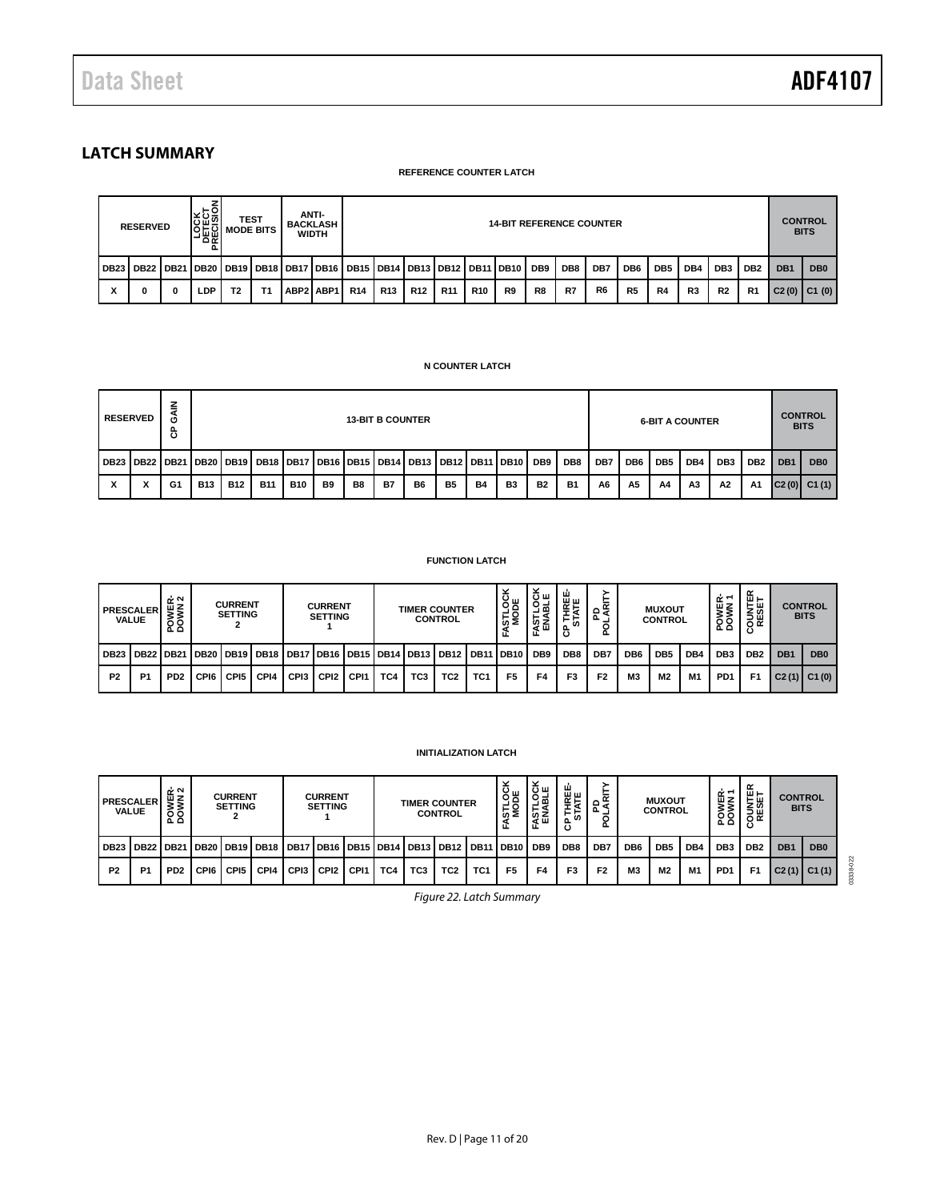# <span id="page-10-0"></span>**LATCH SUMMARY**

#### **REFERENCE COUNTER LATCH**

|                  | <b>RESERVED</b> |   | <b>LOCK</b><br>DELECTO | <b>MODE BITS</b> | <b>TEST</b>    | ANTI-<br><b>BACKLASH</b><br><b>WIDTH</b> |                                                                            | <b>14-BIT REFERENCE COUNTER</b> |                 |            |            |    |     |     |                |                 | <b>CONTROL</b><br><b>BITS</b> |                |                 |                 |                 |                 |
|------------------|-----------------|---|------------------------|------------------|----------------|------------------------------------------|----------------------------------------------------------------------------|---------------------------------|-----------------|------------|------------|----|-----|-----|----------------|-----------------|-------------------------------|----------------|-----------------|-----------------|-----------------|-----------------|
| DB <sub>23</sub> | DB22   DB21     |   |                        |                  |                |                                          | DB20   DB19   DB18   DB17   DB16   DB15   DB14   DB13   DB12   DB11   DB10 |                                 |                 |            |            |    | DB9 | DB8 | DB7            | DB <sub>6</sub> | DB <sub>5</sub>               | DB4            | DB <sub>3</sub> | DB <sub>2</sub> | DB <sub>1</sub> | DB <sub>0</sub> |
| x                |                 | 0 | LDP                    | T <sub>2</sub>   | T <sub>1</sub> | ABP2 ABP1                                | <b>R14</b>                                                                 | <b>R13</b>                      | R <sub>12</sub> | <b>R11</b> | <b>R10</b> | R9 | R8  | R7  | R <sub>6</sub> | R <sub>5</sub>  | R4                            | R <sub>3</sub> | R <sub>2</sub>  | R <sub>1</sub>  | C2(0)           | C1(0)           |

#### **N COUNTER LATCH**

|           | <b>RESERVED</b> | z<br>Ö<br>සි |            |            |            |            |                |    | <b>13-BIT B COUNTER</b> |                                                                                                         |                |           |    |           |           |     |                 | <b>6-BIT A COUNTER</b> |                |                 |                 | <b>CONTROL</b><br><b>BITS</b> |                   |
|-----------|-----------------|--------------|------------|------------|------------|------------|----------------|----|-------------------------|---------------------------------------------------------------------------------------------------------|----------------|-----------|----|-----------|-----------|-----|-----------------|------------------------|----------------|-----------------|-----------------|-------------------------------|-------------------|
|           |                 |              |            |            |            |            |                |    |                         | DB23   DB22   DB21   DB20   DB19   DB18   DB17   DB16   DB15   DB14   DB13   DB12   DB11   DB10     DB9 |                |           |    |           | DB8       | DB7 | DB <sub>6</sub> | DB <sub>5</sub>        | DB4            | DB <sub>3</sub> | DB <sub>2</sub> | DB <sub>1</sub>               | DB <sub>0</sub>   |
| $\lambda$ | $\cdot$         | G1           | <b>B13</b> | <b>B12</b> | <b>B11</b> | <b>B10</b> | B <sub>9</sub> | B8 | <b>B7</b>               | B6                                                                                                      | B <sub>5</sub> | <b>B4</b> | B3 | <b>B2</b> | <b>B1</b> | A6  | A <sub>5</sub>  | A4                     | A <sub>3</sub> | A2              | A <sub>1</sub>  |                               | $ C2(0) $ $C1(1)$ |

#### **FUNCTION LATCH**

|                | <b>PRESCALER</b><br><b>VALUE</b> | POWER-<br>DOWN 2            |      | <b>CURRENT</b><br><b>SETTING</b> |                                                              |      | <b>CURRENT</b><br><b>SETTING</b> |                  |     |                 | <b>TIMER COUNTER</b><br><b>CONTROL</b> |                 | STLOCI<br>MODE   | šщ<br>유목<br>ក្ខក្ខ | ш<br><b>HREI</b><br>ATE<br>보크 | 귵<br>≴ہ<br>Δ.<br>ք |                 | <b>MUXOUT</b><br><b>CONTROL</b> |     | ∻∼<br>面Z<br>×oa<br>So | ≃<br>шH<br><b>SESE</b> |                 | <b>CONTROL</b><br><b>BITS</b> |
|----------------|----------------------------------|-----------------------------|------|----------------------------------|--------------------------------------------------------------|------|----------------------------------|------------------|-----|-----------------|----------------------------------------|-----------------|------------------|--------------------|-------------------------------|--------------------|-----------------|---------------------------------|-----|-----------------------|------------------------|-----------------|-------------------------------|
| <b>DB23</b>    | DB <sub>22</sub>                 | <b>DB21</b>                 |      |                                  | DB20   DB19   DB18   DB17   DB16   DB15   DB14   DB13   DB12 |      |                                  |                  |     |                 |                                        | <b>DB11</b>     | DB <sub>10</sub> | DB <sub>9</sub>    | DB8                           | DB7                | DB <sub>6</sub> | DB <sub>5</sub>                 | DB4 | DB <sub>3</sub>       | DB <sub>2</sub>        | DB <sub>1</sub> | DB <sub>0</sub>               |
| P <sub>2</sub> | P <sub>1</sub>                   | P <sub>D</sub> <sub>2</sub> | CPI6 | CPI <sub>5</sub>                 | CP <sub>14</sub>                                             | CPI3 | CPI <sub>2</sub>                 | CP <sub>11</sub> | TC4 | TC <sub>3</sub> | TC <sub>2</sub>                        | TC <sub>1</sub> | F <sub>5</sub>   | F4                 | F <sub>3</sub>                | F <sub>2</sub>     | <b>M3</b>       | M <sub>2</sub>                  | M1  | P <sub>D</sub> 1      | F <sub>1</sub>         |                 | $C2(1)$ $C1(0)$               |

#### **INITIALIZATION LATCH**

<span id="page-10-1"></span>

| <b>PRESCALER</b> | <b>VALUE</b>   | ᅶᅅ<br><b>POWEI</b> |                    | <b>CURRENT</b><br><b>SETTING</b> | <b>CURRENT</b><br><b>SETTING</b> |                  |                  | <b>TIMER COUNTER</b><br><b>CONTROL</b> |     |     | س پ<br>일흥<br>ົ້¤ຂ                                | šщ<br>ğ<br>-<br>ទីទី<br>£ | Ŵ<br>퐱<br>⊢⊢<br><b>in</b><br>௨ | ෧ඁ౾<br>-        | <b>MUXOUT</b><br><b>CONTROL</b> |                |                 | 띥 <u>돈</u><br>້<br>68<br>م ء | <b>OUNTER</b><br>RESET<br>ں | <b>CONTROL</b><br><b>BITS</b> |                 |                 |                 |
|------------------|----------------|--------------------|--------------------|----------------------------------|----------------------------------|------------------|------------------|----------------------------------------|-----|-----|--------------------------------------------------|---------------------------|--------------------------------|-----------------|---------------------------------|----------------|-----------------|------------------------------|-----------------------------|-------------------------------|-----------------|-----------------|-----------------|
| DB <sub>23</sub> | <b>DB22</b>    | <b>DB21</b>        | DB20   DB19   DB18 |                                  |                                  |                  |                  |                                        |     |     | I DB17   DB16   DB15   DB14   DB13   DB12   DB11 |                           | I DB10                         | DB <sub>9</sub> | DB <sub>8</sub>                 | DB7            | DB <sub>6</sub> | DB <sub>5</sub>              | DB <sub>4</sub>             | DB <sub>3</sub>               | DB <sub>2</sub> | DB <sub>1</sub> | DB <sub>0</sub> |
| P <sub>2</sub>   | P <sub>1</sub> | PD <sub>2</sub>    | CPI6               | CP <sub>15</sub>                 | CPI4                             | CP <sub>13</sub> | CPI <sub>2</sub> | CP <sub>11</sub>                       | TC4 | TC3 | TC <sub>2</sub>                                  | TC <sub>1</sub>           | F <sub>5</sub>                 | F4              | F3                              | F <sub>2</sub> | <b>M3</b>       | M <sub>2</sub>               | M <sub>1</sub>              | PD <sub>1</sub>               | F1              |                 | $C2(1)$ $C1(1)$ |

*Figure 22. Latch Summary*

03338-022

03338-022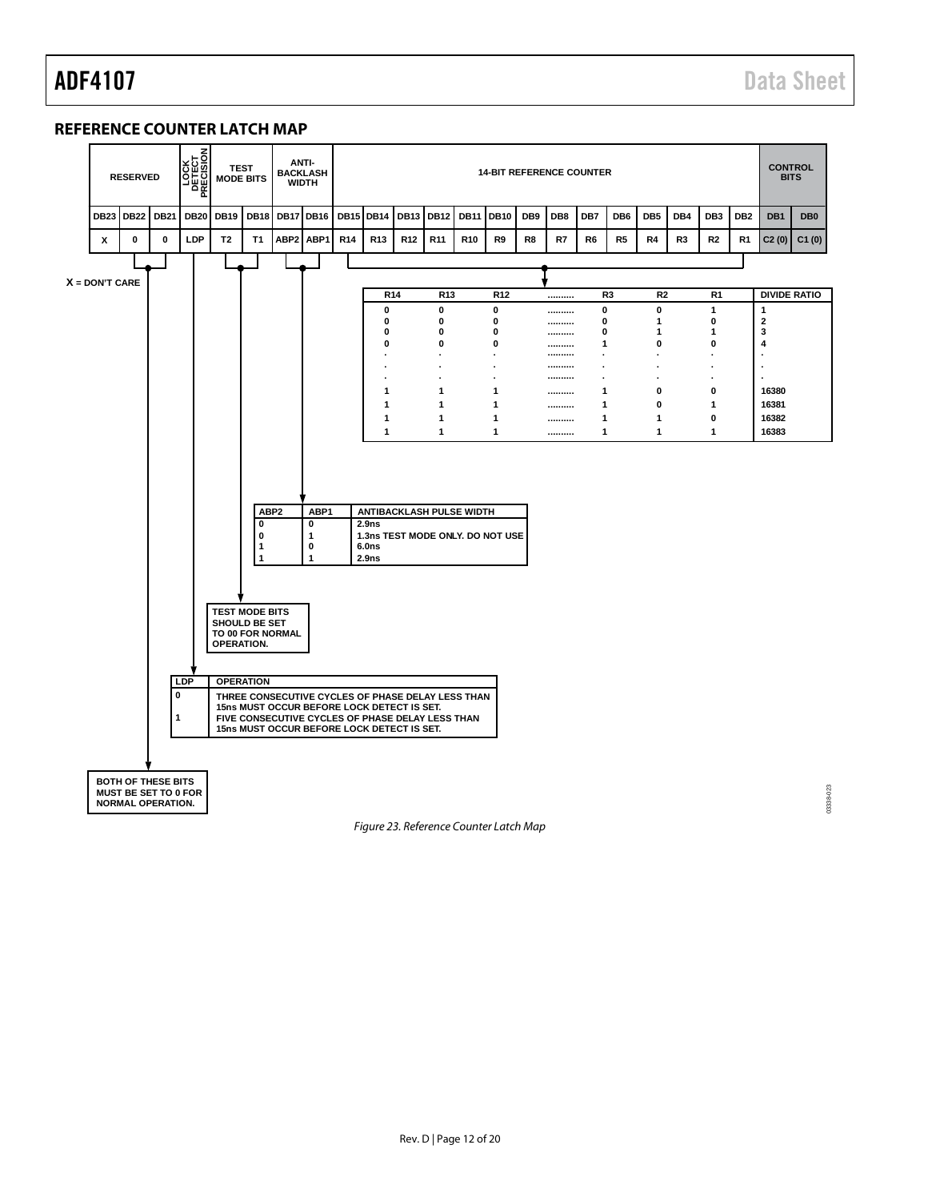#### <span id="page-11-0"></span>**REFERENCE COUNTER LATCH MAP**



<span id="page-11-1"></span>*Figure 23. Reference Counter Latch Map*

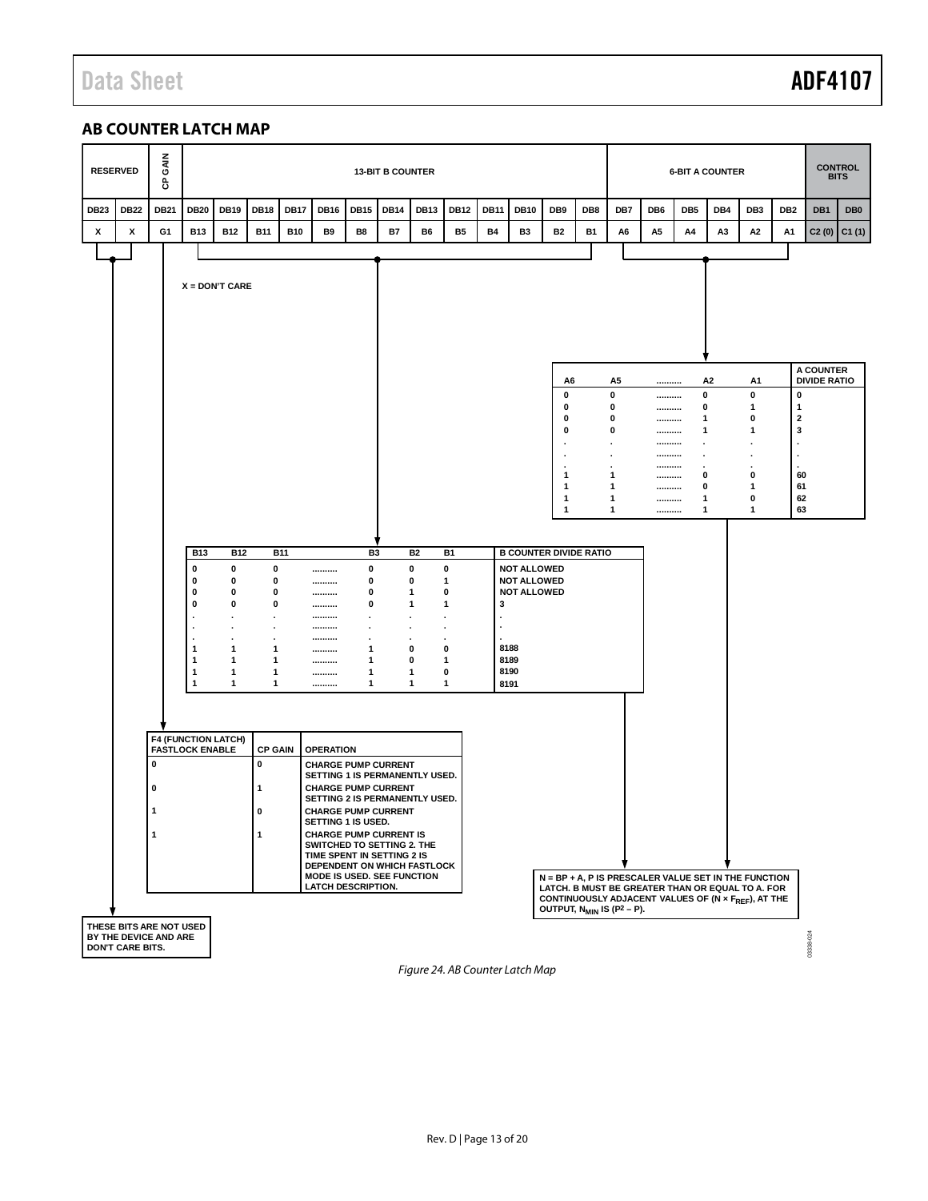# Data Sheet **ADF4107**

# <span id="page-12-0"></span>**AB COUNTER LATCH MAP**

|             | <b>RESERVED</b>                           | GAIN<br>ဇိ  |                                                                                                                                 |                                                    |                                                                                                            |             |                                                                                                                                                                                                                                                                                                                                                                                                                                         |                                                                                         | <b>13-BIT B COUNTER</b> |                                                                                                        |                                                                                                                 |             |                                                                                                                                 |                                                                                                      |           |                                            | <b>6-BIT A COUNTER</b>                       |     | <b>CONTROL</b><br><b>BITS</b>                                     |                                                                                                                                                                                                              |                                          |                                  |                 |
|-------------|-------------------------------------------|-------------|---------------------------------------------------------------------------------------------------------------------------------|----------------------------------------------------|------------------------------------------------------------------------------------------------------------|-------------|-----------------------------------------------------------------------------------------------------------------------------------------------------------------------------------------------------------------------------------------------------------------------------------------------------------------------------------------------------------------------------------------------------------------------------------------|-----------------------------------------------------------------------------------------|-------------------------|--------------------------------------------------------------------------------------------------------|-----------------------------------------------------------------------------------------------------------------|-------------|---------------------------------------------------------------------------------------------------------------------------------|------------------------------------------------------------------------------------------------------|-----------|--------------------------------------------|----------------------------------------------|-----|-------------------------------------------------------------------|--------------------------------------------------------------------------------------------------------------------------------------------------------------------------------------------------------------|------------------------------------------|----------------------------------|-----------------|
| <b>DB23</b> | <b>DB22</b>                               | <b>DB21</b> | <b>DB20</b>                                                                                                                     | <b>DB19</b>                                        | <b>DB18</b>                                                                                                | <b>DB17</b> | <b>DB16</b>                                                                                                                                                                                                                                                                                                                                                                                                                             | <b>DB15</b>                                                                             | <b>DB14</b>             | <b>DB13</b>                                                                                            | <b>DB12</b>                                                                                                     | <b>DB11</b> | <b>DB10</b>                                                                                                                     | DB9                                                                                                  | DB8       | DB7                                        | DB <sub>6</sub>                              | DB5 | DB4                                                               | DB <sub>3</sub>                                                                                                                                                                                              | DB <sub>2</sub>                          | DB1                              | DB <sub>0</sub> |
| х           | X                                         | G1          | <b>B13</b>                                                                                                                      | <b>B12</b>                                         | <b>B11</b>                                                                                                 | <b>B10</b>  | B9                                                                                                                                                                                                                                                                                                                                                                                                                                      | B8                                                                                      | <b>B7</b>               | B6                                                                                                     | <b>B5</b>                                                                                                       | <b>B4</b>   | <b>B3</b>                                                                                                                       | <b>B2</b>                                                                                            | <b>B1</b> | A6                                         | A5                                           | A4  | A3                                                                | А2                                                                                                                                                                                                           | А1                                       | C2(0)                            | C1(1)           |
|             |                                           |             |                                                                                                                                 |                                                    |                                                                                                            |             |                                                                                                                                                                                                                                                                                                                                                                                                                                         |                                                                                         |                         |                                                                                                        |                                                                                                                 |             |                                                                                                                                 |                                                                                                      |           |                                            |                                              |     |                                                                   |                                                                                                                                                                                                              |                                          |                                  |                 |
|             | THESE BITS ARE NOT USED                   | 0<br>0<br>1 | $X = DON'T CARE$<br><b>B13</b><br>0<br>0<br>0<br>0<br>1<br>-1<br>1<br>1<br><b>F4 (FUNCTION LATCH)</b><br><b>FASTLOCK ENABLE</b> | <b>B12</b><br>0<br>0<br>0<br>0<br>1<br>1<br>1<br>1 | 0<br>0<br>0<br>0<br>1<br>1<br>1<br>1<br><b>CP GAIN</b><br>0<br>$\mathbf{1}$<br>$\mathbf 0$<br>$\mathbf{1}$ | <b>B11</b>  | <br><br><br><br><br><br><br><br><br><br><br><b>OPERATION</b><br><b>CHARGE PUMP CURRENT</b><br>SETTING 1 IS PERMANENTLY USED.<br><b>CHARGE PUMP CURRENT</b><br>SETTING 2 IS PERMANENTLY USED.<br><b>CHARGE PUMP CURRENT</b><br>SETTING 1 IS USED.<br><b>CHARGE PUMP CURRENT IS</b><br>SWITCHED TO SETTING 2. THE<br>TIME SPENT IN SETTING 2 IS<br>DEPENDENT ON WHICH FASTLOCK<br>MODE IS USED. SEE FUNCTION<br><b>LATCH DESCRIPTION.</b> | B3<br>$\mathbf 0$<br>0<br>0<br>0<br>$\bullet$<br>$\cdot$<br>1<br>1<br>1<br>$\mathbf{1}$ |                         | <b>B2</b><br>0<br>0<br>-1<br>-1<br>$\blacksquare$<br>$\cdot$<br>$\cdot$<br>0<br>0<br>1<br>$\mathbf{1}$ | <b>B1</b><br>0<br>1<br>0<br>$\mathbf{1}$<br>$\blacksquare$<br>$\cdot$<br>0<br>$\mathbf{1}$<br>0<br>$\mathbf{1}$ | 3           | <b>B COUNTER DIVIDE RATIO</b><br><b>NOT ALLOWED</b><br><b>NOT ALLOWED</b><br><b>NOT ALLOWED</b><br>8188<br>8189<br>8190<br>8191 | A6<br>0<br>0<br>0<br>0<br>٠<br>1<br>1<br>1<br>1<br>OUTPUT, N <sub>MIN</sub> IS (P <sup>2</sup> - P). |           | A5<br>0<br>0<br>0<br>0<br>1<br>1<br>1<br>1 | <br><br><br><br><br><br><br><br><br><br><br> |     | A <sub>2</sub><br>0<br>0<br>1<br>1<br>$\cdot$<br>0<br>0<br>1<br>1 | A1<br>0<br>1<br>0<br>1<br>0<br>1<br>0<br>1<br>N = BP + A, P IS PRESCALER VALUE SET IN THE FUNCTION<br>LATCH. B MUST BE GREATER THAN OR EQUAL TO A. FOR<br>CONTINUOUSLY ADJACENT VALUES OF (N x FREE), AT THE | 0<br>1<br>2<br>3<br>60<br>61<br>62<br>63 | A COUNTER<br><b>DIVIDE RATIO</b> |                 |
|             | BY THE DEVICE AND ARE<br>DON'T CARE BITS. |             |                                                                                                                                 |                                                    |                                                                                                            |             |                                                                                                                                                                                                                                                                                                                                                                                                                                         |                                                                                         |                         |                                                                                                        |                                                                                                                 |             |                                                                                                                                 |                                                                                                      |           |                                            |                                              |     |                                                                   |                                                                                                                                                                                                              |                                          | 13338-024                        |                 |

*Figure 24. AB Counter Latch Map*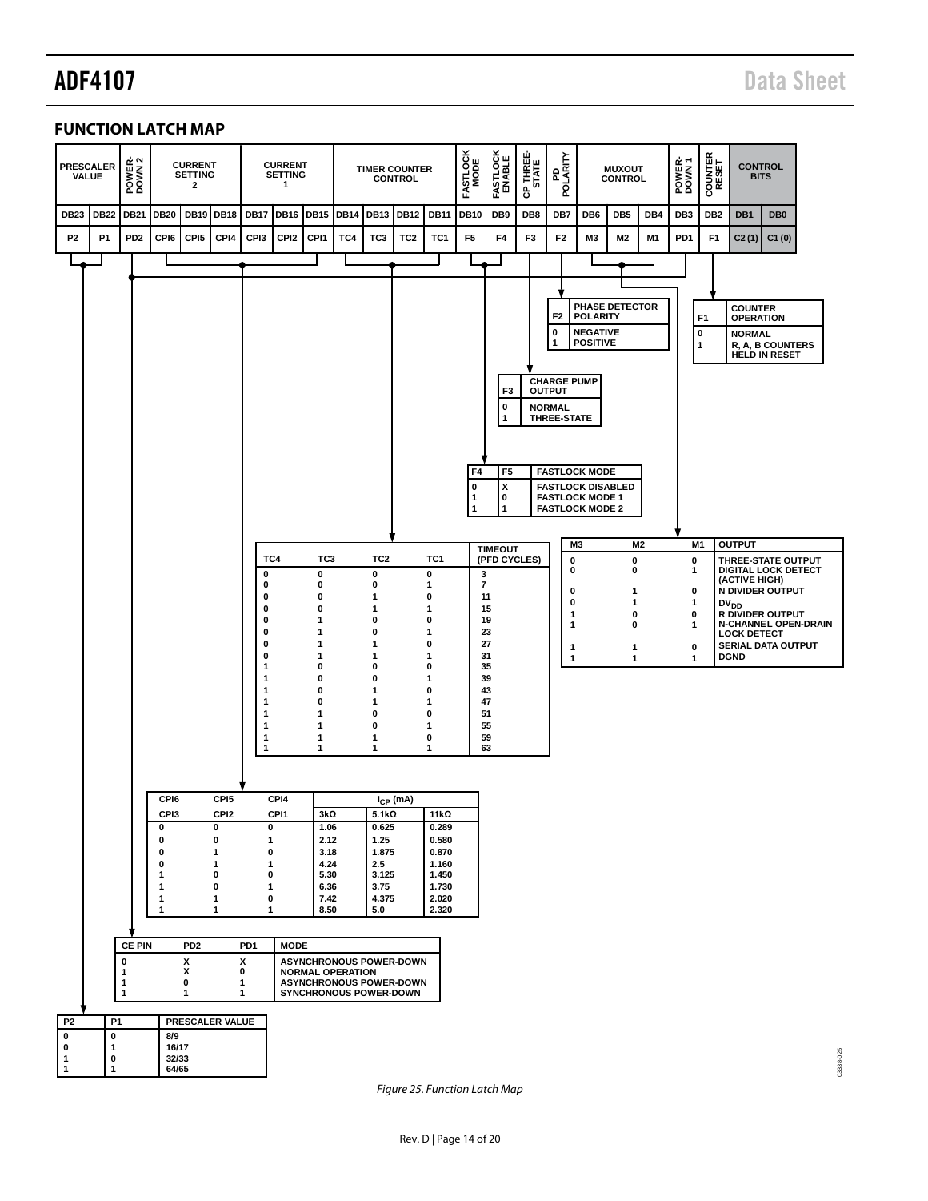# <span id="page-13-0"></span>**FUNCTION LATCH MAP**

| <b>PRESCALER</b><br><b>VAI UE</b> |             | POWER-<br>DOWN 2          |                   | <b>CURRENT</b><br><b>SETTING</b><br>2 |                                      |                  | <b>CURRENT</b><br><b>SETTING</b><br>$\mathbf{1}$ |                                                           |             |                                | <b>TIMER COUNTER</b><br><b>CONTROL</b> |                | <b>FASTLOCK</b><br>MODE | FASTLOCK<br>ENABLE                                                             | CP THREE-<br>STATE | PDLARITY<br>POLARITY                                                                                                                                                                                    |                                                       | <b>MUXOUT</b><br><b>CONTROL</b> |                | POWER-<br>DOWN 1 | COUNTER<br>RESET         |                                                     | <b>CONTROL</b><br><b>BITS</b>            |                             |
|-----------------------------------|-------------|---------------------------|-------------------|---------------------------------------|--------------------------------------|------------------|--------------------------------------------------|-----------------------------------------------------------|-------------|--------------------------------|----------------------------------------|----------------|-------------------------|--------------------------------------------------------------------------------|--------------------|---------------------------------------------------------------------------------------------------------------------------------------------------------------------------------------------------------|-------------------------------------------------------|---------------------------------|----------------|------------------|--------------------------|-----------------------------------------------------|------------------------------------------|-----------------------------|
| <b>DB23</b>                       | <b>DB22</b> | <b>DB21</b>               | <b>DB20</b>       | <b>DB19</b>                           | <b>DB18</b>                          | <b>DB17</b>      | <b>DB16</b>                                      | <b>DB15</b>                                               | <b>DB14</b> | <b>DB13</b>                    | <b>DB12</b>                            | <b>DB11</b>    | <b>DB10</b>             | DB9                                                                            | DB8                | DB7                                                                                                                                                                                                     | DB6                                                   | DB <sub>5</sub>                 | DB4            | DB <sub>3</sub>  | DB <sub>2</sub>          | DB1                                                 | DB <sub>0</sub>                          |                             |
| P <sub>2</sub>                    | <b>P1</b>   | PD <sub>2</sub>           | CPI6              | CPI <sub>5</sub>                      | CPI4                                 | CPI3             | CPI <sub>2</sub>                                 | CPI1                                                      | TC4         | TC3                            | TC <sub>2</sub>                        | TC1            | F <sub>5</sub>          | F4                                                                             | F3                 | F <sub>2</sub>                                                                                                                                                                                          | M3                                                    | M2                              | M1             | PD <sub>1</sub>  | F <sub>1</sub>           | C2(1)                                               | C1(0)                                    |                             |
|                                   |             |                           |                   |                                       |                                      |                  |                                                  |                                                           |             |                                |                                        |                |                         |                                                                                |                    |                                                                                                                                                                                                         |                                                       |                                 |                |                  |                          |                                                     |                                          |                             |
|                                   |             |                           |                   |                                       |                                      |                  |                                                  |                                                           |             |                                |                                        |                | F4<br>0<br>1<br>1       | F <sub>3</sub><br>$\mathbf 0$<br>1<br>F <sub>5</sub><br>x<br>0<br>$\mathbf{1}$ |                    | F <sub>2</sub><br>0<br>1<br><b>CHARGE PUMP</b><br><b>OUTPUT</b><br><b>NORMAL</b><br>THREE-STATE<br><b>FASTLOCK MODE</b><br><b>FASTLOCK DISABLED</b><br><b>FASTLOCK MODE 1</b><br><b>FASTLOCK MODE 2</b> | <b>POLARITY</b><br><b>NEGATIVE</b><br><b>POSITIVE</b> | PHASE DETECTOR                  |                |                  | F <sub>1</sub><br>0<br>1 | <b>COUNTER</b><br><b>OPERATION</b><br><b>NORMAL</b> | R, A, B COUNTERS<br><b>HELD IN RESET</b> |                             |
|                                   |             |                           |                   |                                       |                                      |                  |                                                  |                                                           |             |                                |                                        |                |                         |                                                                                |                    |                                                                                                                                                                                                         |                                                       |                                 |                |                  |                          |                                                     |                                          |                             |
|                                   |             |                           |                   |                                       |                                      |                  |                                                  |                                                           |             |                                |                                        |                |                         | <b>TIMEOUT</b>                                                                 |                    |                                                                                                                                                                                                         | M3                                                    |                                 | M <sub>2</sub> |                  | M <sub>1</sub>           | <b>OUTPUT</b>                                       |                                          |                             |
|                                   |             |                           |                   |                                       |                                      | TC4<br>0         |                                                  | TC <sub>3</sub><br>$\mathbf 0$                            |             | TC <sub>2</sub><br>$\mathbf 0$ |                                        | TC1<br>0       |                         | (PFD CYCLES)<br>3                                                              |                    | 0<br>0                                                                                                                                                                                                  |                                                       | $\mathbf 0$<br>0                |                | $\pmb{0}$<br>1   |                          | THREE-STATE OUTPUT<br><b>DIGITAL LOCK DETECT</b>    |                                          |                             |
|                                   |             |                           |                   |                                       |                                      | 0<br>0           |                                                  | 0<br>0                                                    |             | 0<br>-1                        |                                        | 1<br>0         |                         | $\overline{\mathbf{r}}$<br>11                                                  |                    | 0                                                                                                                                                                                                       |                                                       | 1                               |                | 0                |                          | (ACTIVE HIGH)<br><b>N DIVIDER OUTPUT</b>            |                                          |                             |
|                                   |             |                           |                   |                                       |                                      | 0<br>0           |                                                  | 0<br>1                                                    |             | 1<br>0                         |                                        | 1<br>0         |                         | 15<br>19                                                                       |                    | 0<br>1                                                                                                                                                                                                  |                                                       | 1<br>0                          |                | 1<br>0           |                          | DV <sub>DD</sub><br><b>R DIVIDER OUTPUT</b>         |                                          |                             |
|                                   |             |                           |                   |                                       |                                      | 0                |                                                  | 1                                                         |             | 0                              |                                        | 1              |                         | 23                                                                             |                    | 1                                                                                                                                                                                                       |                                                       | 0                               |                | 1                |                          | <b>LOCK DETECT</b>                                  |                                          | <b>N-CHANNEL OPEN-DRAIN</b> |
|                                   |             |                           |                   |                                       |                                      | 0<br>0           |                                                  | 1<br>$\mathbf{1}$                                         |             | 1<br>-1                        |                                        | 0<br>1         |                         | 27<br>31                                                                       |                    | 1<br>1                                                                                                                                                                                                  |                                                       | 1<br>1                          |                | 0<br>1           |                          | SERIAL DATA OUTPUT<br><b>DGND</b>                   |                                          |                             |
|                                   |             |                           |                   |                                       |                                      | 1<br>1           |                                                  | 0<br>$\mathbf 0$                                          |             | 0<br>0                         |                                        | 0<br>1         |                         | 35<br>39                                                                       |                    |                                                                                                                                                                                                         |                                                       |                                 |                |                  |                          |                                                     |                                          |                             |
|                                   |             |                           |                   |                                       |                                      | 1<br>1           |                                                  | 0<br>$\mathbf 0$                                          |             | 1<br>1                         |                                        | 0<br>1         |                         | 43<br>47                                                                       |                    |                                                                                                                                                                                                         |                                                       |                                 |                |                  |                          |                                                     |                                          |                             |
|                                   |             |                           |                   |                                       |                                      | 1<br>1           |                                                  | 1<br>1                                                    |             | 0<br>0                         |                                        | 0<br>1         |                         | 51<br>55                                                                       |                    |                                                                                                                                                                                                         |                                                       |                                 |                |                  |                          |                                                     |                                          |                             |
|                                   |             |                           |                   |                                       |                                      | 1<br>1           |                                                  | $\mathbf{1}$<br>1                                         |             | 1<br>1                         |                                        | 0<br>1         |                         | 59<br>63                                                                       |                    |                                                                                                                                                                                                         |                                                       |                                 |                |                  |                          |                                                     |                                          |                             |
|                                   |             |                           |                   |                                       |                                      |                  |                                                  |                                                           |             |                                |                                        |                |                         |                                                                                |                    |                                                                                                                                                                                                         |                                                       |                                 |                |                  |                          |                                                     |                                          |                             |
|                                   |             |                           |                   |                                       |                                      |                  |                                                  |                                                           |             |                                |                                        |                |                         |                                                                                |                    |                                                                                                                                                                                                         |                                                       |                                 |                |                  |                          |                                                     |                                          |                             |
|                                   |             |                           | CPI6<br>CPI3      |                                       | CPI <sub>5</sub><br>CPI <sub>2</sub> |                  | CPI4<br>CPI1                                     | 3kQ                                                       |             | 5.1kQ                          | $I_{CP}$ (mA)                          | 11kΩ           |                         |                                                                                |                    |                                                                                                                                                                                                         |                                                       |                                 |                |                  |                          |                                                     |                                          |                             |
|                                   |             |                           | $\pmb{0}$         |                                       | 0                                    | $\pmb{0}$        |                                                  | 1.06                                                      |             | 0.625                          |                                        | 0.289          |                         |                                                                                |                    |                                                                                                                                                                                                         |                                                       |                                 |                |                  |                          |                                                     |                                          |                             |
|                                   |             |                           | 0<br>0            |                                       | 0<br>1                               | 1<br>0           |                                                  | 2.12<br>3.18                                              |             | 1.25<br>1.875                  |                                        | 0.580<br>0.870 |                         |                                                                                |                    |                                                                                                                                                                                                         |                                                       |                                 |                |                  |                          |                                                     |                                          |                             |
|                                   |             |                           | $\bf{0}$<br>1     |                                       | 1<br>0                               | 1<br>$\mathbf 0$ |                                                  | 4.24<br>5.30                                              |             | 2.5<br>3.125                   |                                        | 1.160<br>1.450 |                         |                                                                                |                    |                                                                                                                                                                                                         |                                                       |                                 |                |                  |                          |                                                     |                                          |                             |
|                                   |             |                           | 1                 |                                       | 0                                    | 1<br>0           |                                                  | 6.36                                                      |             | 3.75                           |                                        | 1.730          |                         |                                                                                |                    |                                                                                                                                                                                                         |                                                       |                                 |                |                  |                          |                                                     |                                          |                             |
|                                   |             |                           | -1<br>$\mathbf 1$ |                                       | 1<br>1                               | 1                |                                                  | 7.42<br>8.50                                              |             | 4.375<br>5.0                   |                                        | 2.020<br>2.320 |                         |                                                                                |                    |                                                                                                                                                                                                         |                                                       |                                 |                |                  |                          |                                                     |                                          |                             |
|                                   |             |                           |                   |                                       |                                      |                  |                                                  |                                                           |             |                                |                                        |                |                         |                                                                                |                    |                                                                                                                                                                                                         |                                                       |                                 |                |                  |                          |                                                     |                                          |                             |
|                                   |             | <b>CE PIN</b><br>$\bf{0}$ |                   | PD <sub>2</sub><br>x                  |                                      | PD1<br>x         | <b>MODE</b>                                      | <b>ASYNCHRONOUS POWER-DOWN</b>                            |             |                                |                                        |                |                         |                                                                                |                    |                                                                                                                                                                                                         |                                                       |                                 |                |                  |                          |                                                     |                                          |                             |
|                                   |             | 1<br>1                    |                   | х<br>0                                |                                      | 0<br>1           |                                                  | <b>NORMAL OPERATION</b><br><b>ASYNCHRONOUS POWER-DOWN</b> |             |                                |                                        |                |                         |                                                                                |                    |                                                                                                                                                                                                         |                                                       |                                 |                |                  |                          |                                                     |                                          |                             |
|                                   |             | 1                         |                   | 1                                     |                                      | 1                |                                                  | <b>SYNCHRONOUS POWER-DOWN</b>                             |             |                                |                                        |                |                         |                                                                                |                    |                                                                                                                                                                                                         |                                                       |                                 |                |                  |                          |                                                     |                                          |                             |
| P <sub>2</sub>                    | <b>P1</b>   |                           |                   |                                       | PRESCALER VALUE                      |                  |                                                  |                                                           |             |                                |                                        |                |                         |                                                                                |                    |                                                                                                                                                                                                         |                                                       |                                 |                |                  |                          |                                                     |                                          |                             |
| $\pmb{0}$<br>$\pmb{0}$            | 0<br>1      |                           | 8/9<br>16/17      |                                       |                                      |                  |                                                  |                                                           |             |                                |                                        |                |                         |                                                                                |                    |                                                                                                                                                                                                         |                                                       |                                 |                |                  |                          |                                                     |                                          |                             |
| 1<br>1                            | 0<br>1      |                           | 32/33<br>64/65    |                                       |                                      |                  |                                                  |                                                           |             |                                |                                        |                |                         |                                                                                |                    |                                                                                                                                                                                                         |                                                       |                                 |                |                  |                          |                                                     |                                          | 03338-025                   |

<span id="page-13-1"></span>*Figure 25. Function Latch Map*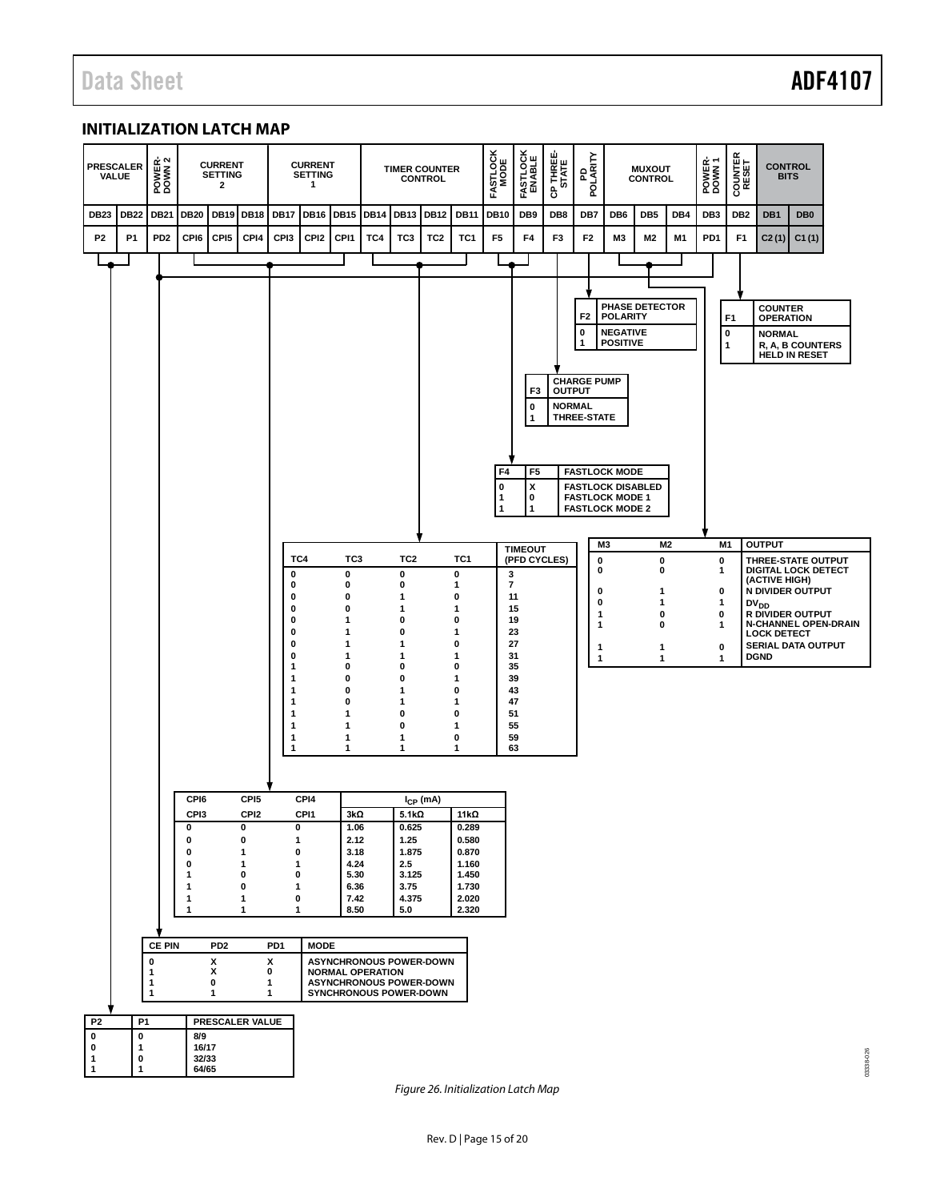### <span id="page-14-0"></span>**INITIALIZATION LATCH MAP**



*Figure 26. Initialization Latch Map*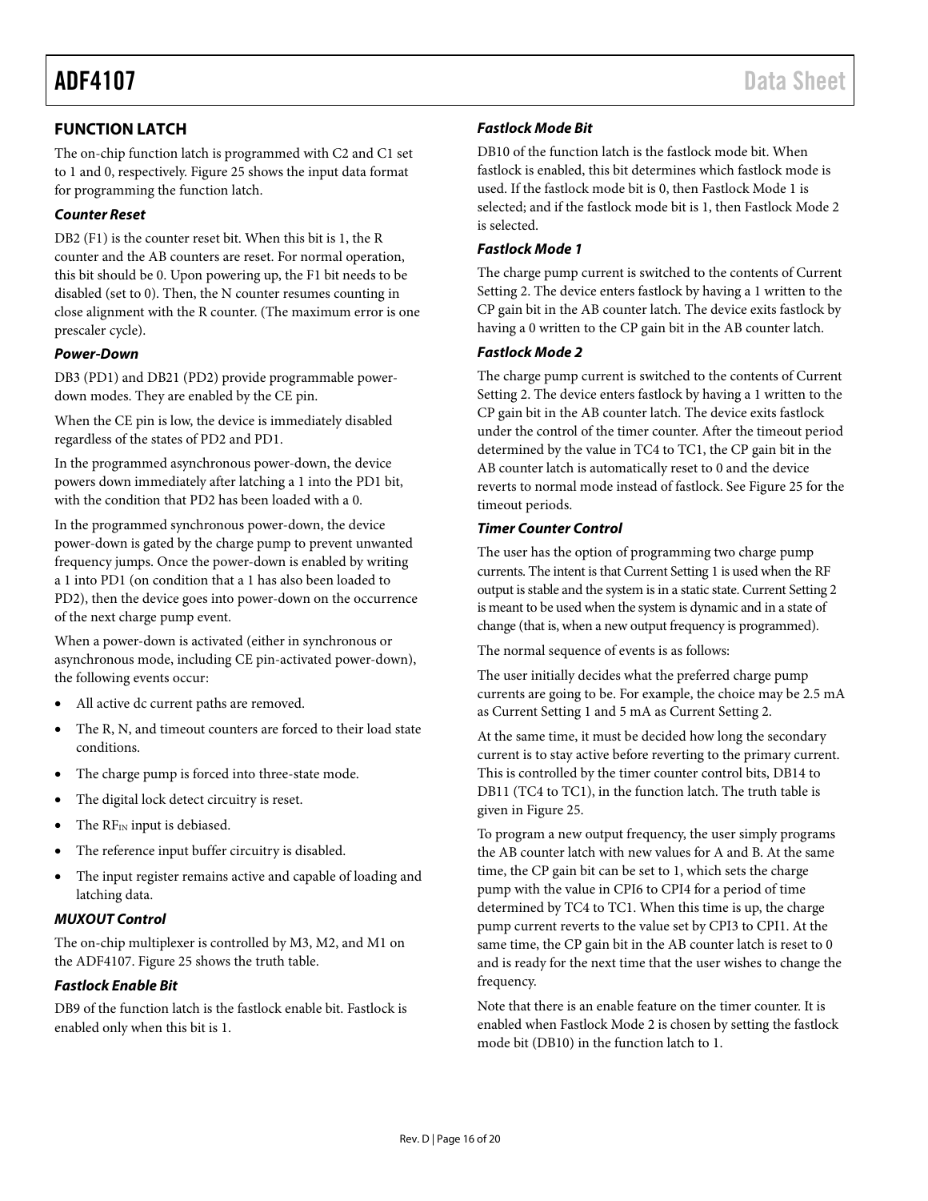## <span id="page-15-0"></span>**FUNCTION LATCH**

The on-chip function latch is programmed with C2 and C1 set to 1 and 0, respectively. [Figure 25](#page-13-1) shows the input data format for programming the function latch.

#### *Counter Reset*

DB2 (F1) is the counter reset bit. When this bit is 1, the R counter and the AB counters are reset. For normal operation, this bit should be 0. Upon powering up, the F1 bit needs to be disabled (set to 0). Then, the N counter resumes counting in close alignment with the R counter. (The maximum error is one prescaler cycle).

#### *Power-Down*

DB3 (PD1) and DB21 (PD2) provide programmable powerdown modes. They are enabled by the CE pin.

When the CE pin is low, the device is immediately disabled regardless of the states of PD2 and PD1.

In the programmed asynchronous power-down, the device powers down immediately after latching a 1 into the PD1 bit, with the condition that PD2 has been loaded with a 0.

In the programmed synchronous power-down, the device power-down is gated by the charge pump to prevent unwanted frequency jumps. Once the power-down is enabled by writing a 1 into PD1 (on condition that a 1 has also been loaded to PD2), then the device goes into power-down on the occurrence of the next charge pump event.

When a power-down is activated (either in synchronous or asynchronous mode, including CE pin-activated power-down), the following events occur:

- All active dc current paths are removed.
- The R, N, and timeout counters are forced to their load state conditions.
- The charge pump is forced into three-state mode.
- The digital lock detect circuitry is reset.
- The RFIN input is debiased.
- The reference input buffer circuitry is disabled.
- The input register remains active and capable of loading and latching data.

#### *MUXOUT Control*

The on-chip multiplexer is controlled by M3, M2, and M1 on the ADF4107[. Figure 25](#page-13-1) shows the truth table.

#### *Fastlock Enable Bit*

DB9 of the function latch is the fastlock enable bit. Fastlock is enabled only when this bit is 1.

### *Fastlock Mode Bit*

DB10 of the function latch is the fastlock mode bit. When fastlock is enabled, this bit determines which fastlock mode is used. If the fastlock mode bit is 0, then Fastlock Mode 1 is selected; and if the fastlock mode bit is 1, then Fastlock Mode 2 is selected.

#### *Fastlock Mode 1*

The charge pump current is switched to the contents of Current Setting 2. The device enters fastlock by having a 1 written to the CP gain bit in the AB counter latch. The device exits fastlock by having a 0 written to the CP gain bit in the AB counter latch.

#### *Fastlock Mode 2*

The charge pump current is switched to the contents of Current Setting 2. The device enters fastlock by having a 1 written to the CP gain bit in the AB counter latch. The device exits fastlock under the control of the timer counter. After the timeout period determined by the value in TC4 to TC1, the CP gain bit in the AB counter latch is automatically reset to 0 and the device reverts to normal mode instead of fastlock. Se[e Figure 25](#page-13-1) for the timeout periods.

#### *Timer Counter Control*

The user has the option of programming two charge pump currents. The intent is that Current Setting 1 is used when the RF output is stable and the system is in a static state. Current Setting 2 is meant to be used when the system is dynamic and in a state of change (that is, when a new output frequency is programmed).

The normal sequence of events is as follows:

The user initially decides what the preferred charge pump currents are going to be. For example, the choice may be 2.5 mA as Current Setting 1 and 5 mA as Current Setting 2.

At the same time, it must be decided how long the secondary current is to stay active before reverting to the primary current. This is controlled by the timer counter control bits, DB14 to DB11 (TC4 to TC1), in the function latch. The truth table is given i[n Figure 25.](#page-13-1)

To program a new output frequency, the user simply programs the AB counter latch with new values for A and B. At the same time, the CP gain bit can be set to 1, which sets the charge pump with the value in CPI6 to CPI4 for a period of time determined by TC4 to TC1. When this time is up, the charge pump current reverts to the value set by CPI3 to CPI1. At the same time, the CP gain bit in the AB counter latch is reset to 0 and is ready for the next time that the user wishes to change the frequency.

Note that there is an enable feature on the timer counter. It is enabled when Fastlock Mode 2 is chosen by setting the fastlock mode bit (DB10) in the function latch to 1.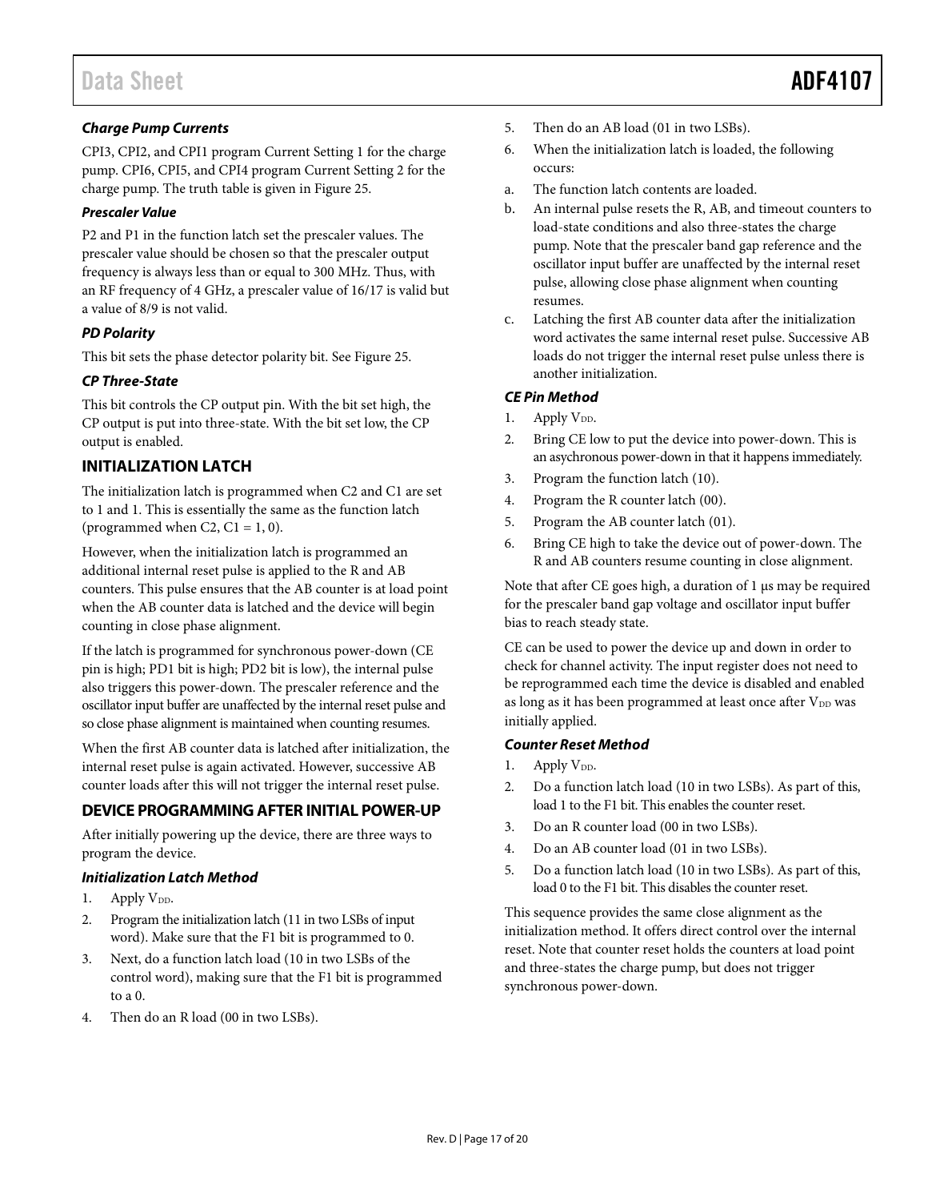### *Charge Pump Currents*

CPI3, CPI2, and CPI1 program Current Setting 1 for the charge pump. CPI6, CPI5, and CPI4 program Current Setting 2 for the charge pump. The truth table is given i[n Figure 25.](#page-13-1)

#### *Prescaler Value*

P2 and P1 in the function latch set the prescaler values. The prescaler value should be chosen so that the prescaler output frequency is always less than or equal to 300 MHz. Thus, with an RF frequency of 4 GHz, a prescaler value of 16/17 is valid but a value of 8/9 is not valid.

#### *PD Polarity*

This bit sets the phase detector polarity bit. See [Figure 25.](#page-13-1)

#### *CP Three-State*

This bit controls the CP output pin. With the bit set high, the CP output is put into three-state. With the bit set low, the CP output is enabled.

### <span id="page-16-0"></span>**INITIALIZATION LATCH**

The initialization latch is programmed when C2 and C1 are set to 1 and 1. This is essentially the same as the function latch (programmed when C2,  $C1 = 1, 0$ ).

However, when the initialization latch is programmed an additional internal reset pulse is applied to the R and AB counters. This pulse ensures that the AB counter is at load point when the AB counter data is latched and the device will begin counting in close phase alignment.

If the latch is programmed for synchronous power-down (CE pin is high; PD1 bit is high; PD2 bit is low), the internal pulse also triggers this power-down. The prescaler reference and the oscillator input buffer are unaffected by the internal reset pulse and so close phase alignment is maintained when counting resumes.

When the first AB counter data is latched after initialization, the internal reset pulse is again activated. However, successive AB counter loads after this will not trigger the internal reset pulse.

### <span id="page-16-1"></span>**DEVICE PROGRAMMING AFTER INITIAL POWER-UP**

After initially powering up the device, there are three ways to program the device.

#### *Initialization Latch Method*

- 1. Apply V<sub>DD</sub>.
- 2. Program the initialization latch (11 in two LSBs of input word). Make sure that the F1 bit is programmed to 0.
- 3. Next, do a function latch load (10 in two LSBs of the control word), making sure that the F1 bit is programmed to a 0.
- 4. Then do an R load (00 in two LSBs).
- 5. Then do an AB load (01 in two LSBs).
- 6. When the initialization latch is loaded, the following occurs:
- a. The function latch contents are loaded.
- b. An internal pulse resets the R, AB, and timeout counters to load-state conditions and also three-states the charge pump. Note that the prescaler band gap reference and the oscillator input buffer are unaffected by the internal reset pulse, allowing close phase alignment when counting resumes.
- c. Latching the first AB counter data after the initialization word activates the same internal reset pulse. Successive AB loads do not trigger the internal reset pulse unless there is another initialization.

#### *CE Pin Method*

- 1. Apply  $V_{DD}$ .
- 2. Bring CE low to put the device into power-down. This is an asychronous power-down in that it happens immediately.
- 3. Program the function latch (10).
- 4. Program the R counter latch (00).
- 5. Program the AB counter latch (01).
- 6. Bring CE high to take the device out of power-down. The R and AB counters resume counting in close alignment.

Note that after CE goes high, a duration of 1  $\mu$ s may be required for the prescaler band gap voltage and oscillator input buffer bias to reach steady state.

CE can be used to power the device up and down in order to check for channel activity. The input register does not need to be reprogrammed each time the device is disabled and enabled as long as it has been programmed at least once after V<sub>DD</sub> was initially applied.

#### *Counter Reset Method*

- 1. Apply  $V_{DD}$ .
- 2. Do a function latch load (10 in two LSBs). As part of this, load 1 to the F1 bit. This enables the counter reset.
- 3. Do an R counter load (00 in two LSBs).
- 4. Do an AB counter load (01 in two LSBs).
- 5. Do a function latch load (10 in two LSBs). As part of this, load 0 to the F1 bit. This disables the counter reset.

This sequence provides the same close alignment as the initialization method. It offers direct control over the internal reset. Note that counter reset holds the counters at load point and three-states the charge pump, but does not trigger synchronous power-down.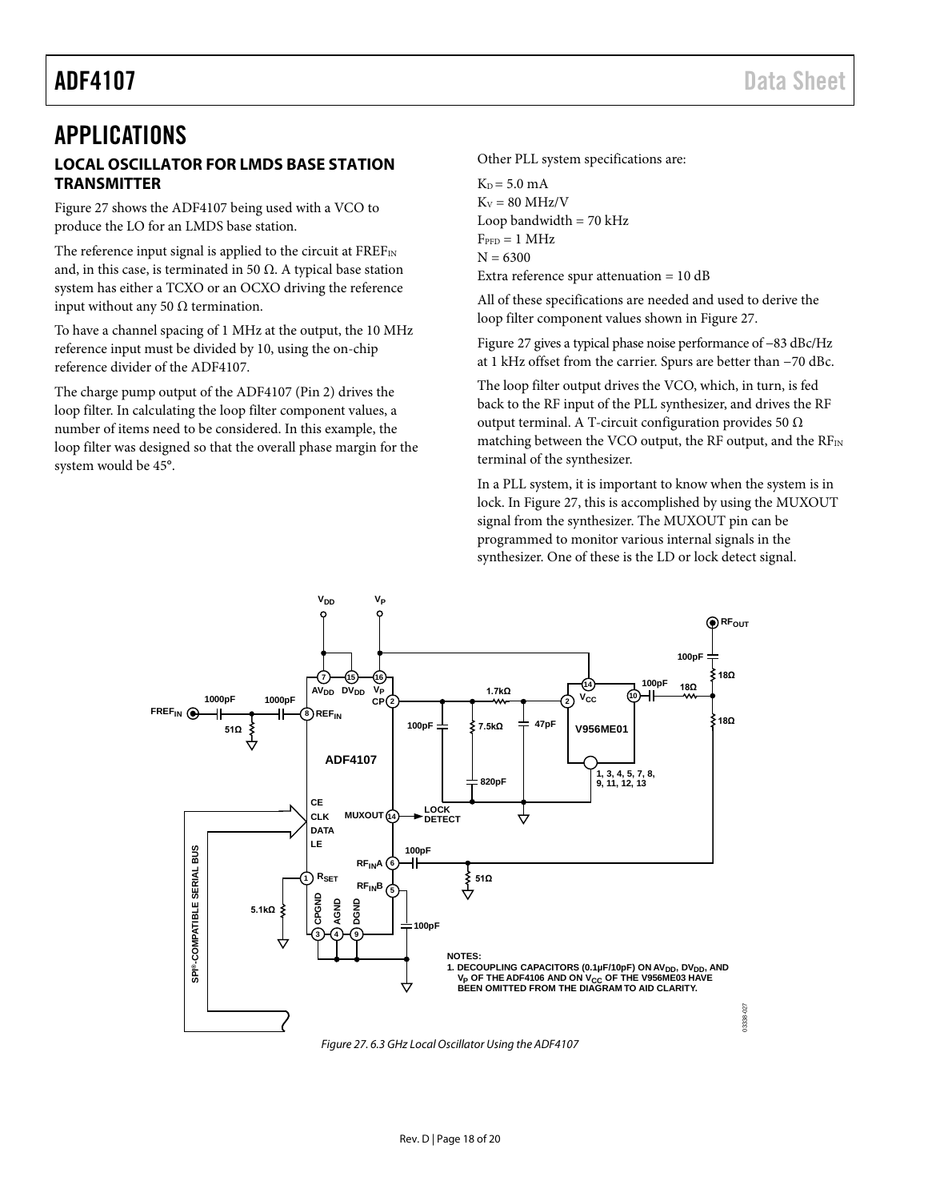# <span id="page-17-1"></span><span id="page-17-0"></span>APPLICATIONS **LOCAL OSCILLATOR FOR LMDS BASE STATION TRANSMITTER**

[Figure 27](#page-17-2) shows the ADF4107 being used with a VCO to produce the LO for an LMDS base station.

The reference input signal is applied to the circuit at FREFIN and, in this case, is terminated in 50  $\Omega$ . A typical base station system has either a TCXO or an OCXO driving the reference input without any 50  $\Omega$  termination.

To have a channel spacing of 1 MHz at the output, the 10 MHz reference input must be divided by 10, using the on-chip reference divider of the ADF4107.

The charge pump output of the ADF4107 (Pin 2) drives the loop filter. In calculating the loop filter component values, a number of items need to be considered. In this example, the loop filter was designed so that the overall phase margin for the system would be 45°.

Other PLL system specifications are:

 $K_D = 5.0$  mA  $K_v = 80$  MHz/V Loop bandwidth  $= 70$  kHz  $F_{\text{PPD}} = 1 \text{ MHz}$  $N = 6300$ Extra reference spur attenuation = 10 dB

All of these specifications are needed and used to derive the loop filter component values shown i[n Figure 27.](#page-17-2)

[Figure 27](#page-17-2) gives a typical phase noise performance of −83 dBc/Hz at 1 kHz offset from the carrier. Spurs are better than −70 dBc.

The loop filter output drives the VCO, which, in turn, is fed back to the RF input of the PLL synthesizer, and drives the RF output terminal. A T-circuit configuration provides 50 Ω matching between the VCO output, the RF output, and the RFIN terminal of the synthesizer.

In a PLL system, it is important to know when the system is in lock. In [Figure 27,](#page-17-2) this is accomplished by using the MUXOUT signal from the synthesizer. The MUXOUT pin can be programmed to monitor various internal signals in the synthesizer. One of these is the LD or lock detect signal.



<span id="page-17-2"></span>*Figure 27. 6.3 GHz Local Oscillator Using the ADF4107*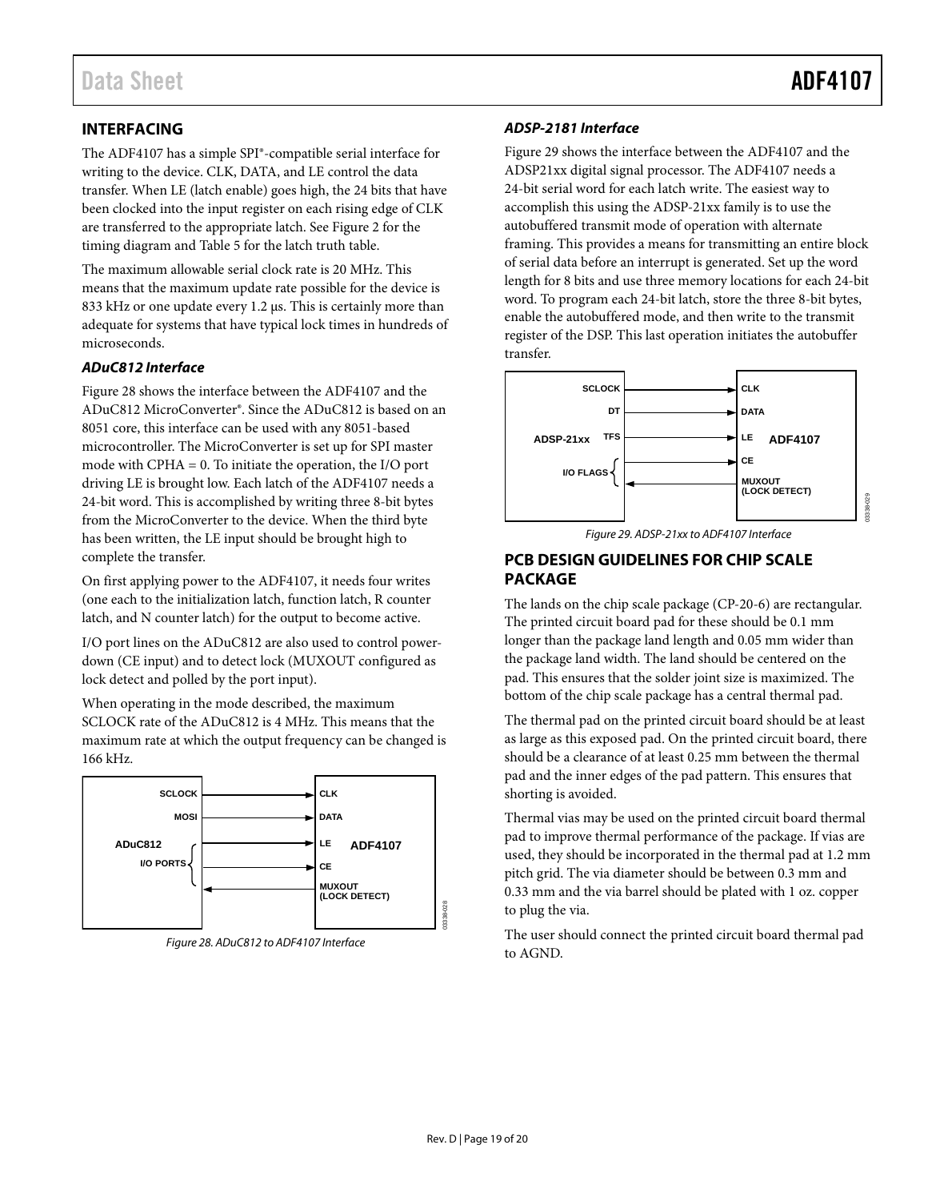## <span id="page-18-0"></span>**INTERFACING**

The ADF4107 has a simple SPI®-compatible serial interface for writing to the device. CLK, DATA, and LE control the data transfer. When LE (latch enable) goes high, the 24 bits that have been clocked into the input register on each rising edge of CLK are transferred to the appropriate latch. Se[e Figure 2](#page-3-2) for the timing diagram an[d Table 5](#page-9-4) for the latch truth table.

The maximum allowable serial clock rate is 20 MHz. This means that the maximum update rate possible for the device is 833 kHz or one update every 1.2 µs. This is certainly more than adequate for systems that have typical lock times in hundreds of microseconds.

#### *ADuC812 Interface*

[Figure 28](#page-18-2) shows the interface between the ADF4107 and the ADuC812 MicroConverter®. Since the ADuC812 is based on an 8051 core, this interface can be used with any 8051-based microcontroller. The MicroConverter is set up for SPI master mode with CPHA = 0. To initiate the operation, the I/O port driving LE is brought low. Each latch of the ADF4107 needs a 24-bit word. This is accomplished by writing three 8-bit bytes from the MicroConverter to the device. When the third byte has been written, the LE input should be brought high to complete the transfer.

On first applying power to the ADF4107, it needs four writes (one each to the initialization latch, function latch, R counter latch, and N counter latch) for the output to become active.

I/O port lines on the ADuC812 are also used to control powerdown (CE input) and to detect lock (MUXOUT configured as lock detect and polled by the port input).

When operating in the mode described, the maximum SCLOCK rate of the ADuC812 is 4 MHz. This means that the maximum rate at which the output frequency can be changed is 166 kHz.



<span id="page-18-2"></span>*Figure 28. ADuC812 to ADF4107 Interface*

#### *ADSP-2181 Interface*

[Figure 29](#page-18-3) shows the interface between the ADF4107 and the ADSP21xx digital signal processor. The ADF4107 needs a 24-bit serial word for each latch write. The easiest way to accomplish this using the ADSP-21xx family is to use the autobuffered transmit mode of operation with alternate framing. This provides a means for transmitting an entire block of serial data before an interrupt is generated. Set up the word length for 8 bits and use three memory locations for each 24-bit word. To program each 24-bit latch, store the three 8-bit bytes, enable the autobuffered mode, and then write to the transmit register of the DSP. This last operation initiates the autobuffer transfer.



*Figure 29. ADSP-21xx to ADF4107 Interface*

### <span id="page-18-3"></span><span id="page-18-1"></span>**PCB DESIGN GUIDELINES FOR CHIP SCALE PACKAGE**

The lands on the chip scale package (CP-20-6) are rectangular. The printed circuit board pad for these should be 0.1 mm longer than the package land length and 0.05 mm wider than the package land width. The land should be centered on the pad. This ensures that the solder joint size is maximized. The bottom of the chip scale package has a central thermal pad.

The thermal pad on the printed circuit board should be at least as large as this exposed pad. On the printed circuit board, there should be a clearance of at least 0.25 mm between the thermal pad and the inner edges of the pad pattern. This ensures that shorting is avoided.

Thermal vias may be used on the printed circuit board thermal pad to improve thermal performance of the package. If vias are used, they should be incorporated in the thermal pad at 1.2 mm pitch grid. The via diameter should be between 0.3 mm and 0.33 mm and the via barrel should be plated with 1 oz. copper to plug the via.

The user should connect the printed circuit board thermal pad to AGND.

03338-028

 $28$